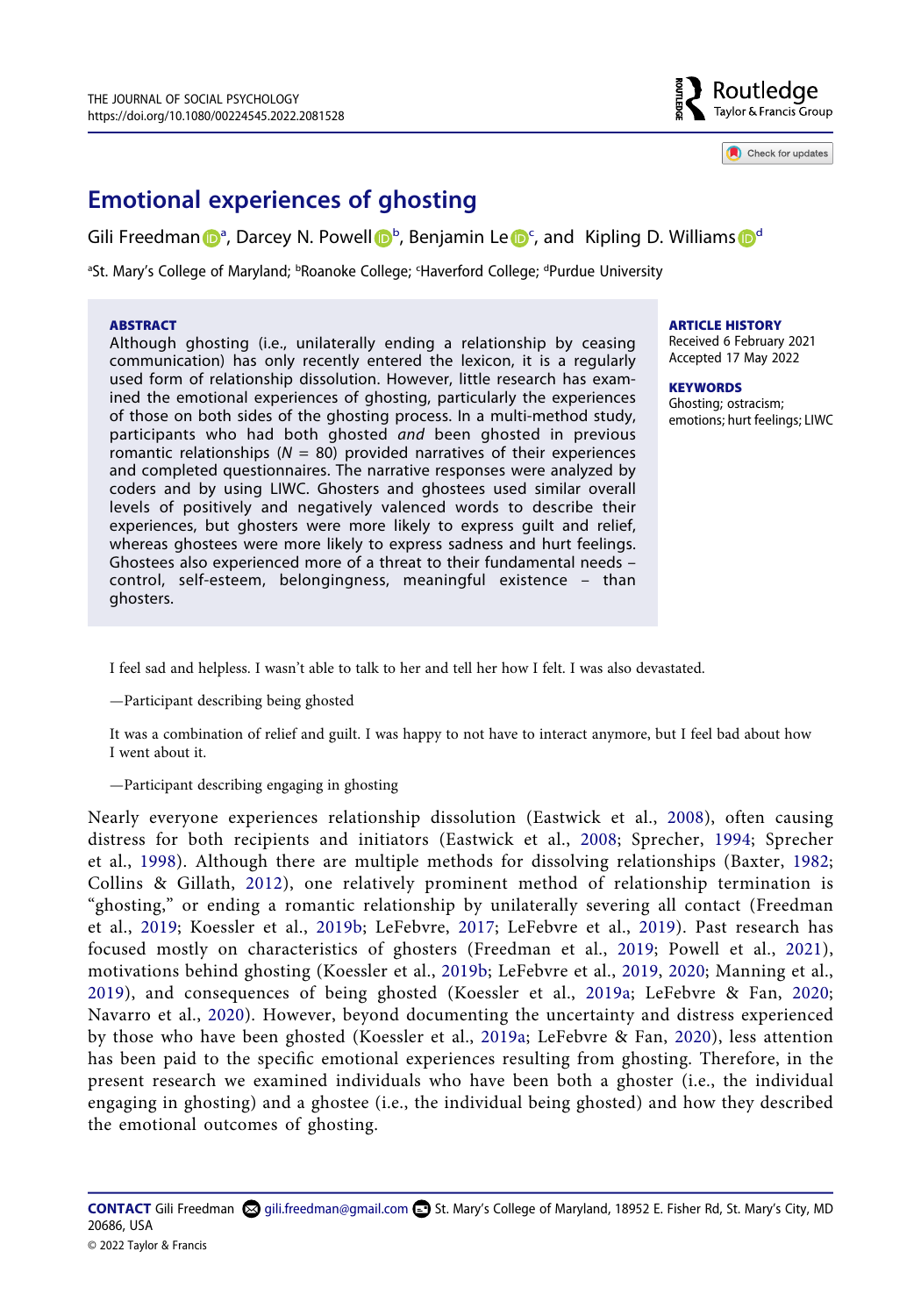

Check for updates

# **Emotional experiences of ghosting**

Gili Freedm[a](#page-0-0)n D<sup>a</sup>, Darcey N. Powell D<sup>[b](#page-0-0)</sup>, B[e](http://orcid.org/0000-0001-5522-6654)njamin Le D<sup>[c](#page-0-0)</sup>, an[d](#page-0-0) Kipling D. Williams D<sup>d</sup>

<span id="page-0-0"></span><sup>a</sup>St. Mary's College of Maryland; <sup>b</sup>Roanoke College; <sup>c</sup>Haverford College; <sup>d</sup>Purdue University

#### **ABSTRACT**

Although ghosting (i.e., unilaterally ending a relationship by ceasing communication) has only recently entered the lexicon, it is a regularly used form of relationship dissolution. However, little research has examined the emotional experiences of ghosting, particularly the experiences of those on both sides of the ghosting process. In a multi-method study, participants who had both ghosted *and* been ghosted in previous romantic relationships  $(N = 80)$  provided narratives of their experiences and completed questionnaires. The narrative responses were analyzed by coders and by using LIWC. Ghosters and ghostees used similar overall levels of positively and negatively valenced words to describe their experiences, but ghosters were more likely to express guilt and relief, whereas ghostees were more likely to express sadness and hurt feelings. Ghostees also experienced more of a threat to their fundamental needs – control, self-esteem, belongingness, meaningful existence – than ghosters.

**ARTICLE HISTORY** 

Received 6 February 2021 Accepted 17 May 2022

**KEYWORDS**  Ghosting; ostracism; emotions; hurt feelings; LIWC

I feel sad and helpless. I wasn't able to talk to her and tell her how I felt. I was also devastated.

—Participant describing being ghosted

It was a combination of relief and guilt. I was happy to not have to interact anymore, but I feel bad about how I went about it.

—Participant describing engaging in ghosting

<span id="page-0-8"></span><span id="page-0-7"></span><span id="page-0-6"></span><span id="page-0-5"></span><span id="page-0-4"></span><span id="page-0-3"></span><span id="page-0-2"></span><span id="page-0-1"></span>Nearly everyone experiences relationship dissolution (Eastwick et al., [2008](#page-16-0)), often causing distress for both recipients and initiators (Eastwick et al., [2008;](#page-16-0) Sprecher, [1994;](#page-19-0) Sprecher et al., [1998](#page-19-1)). Although there are multiple methods for dissolving relationships (Baxter, [1982;](#page-16-1) Collins & Gillath, [2012\)](#page-16-2), one relatively prominent method of relationship termination is "ghosting," or ending a romantic relationship by unilaterally severing all contact (Freedman et al., [2019](#page-17-0); Koessler et al., [2019b](#page-17-1); LeFebvre, [2017;](#page-17-2) LeFebvre et al., [2019\)](#page-17-3). Past research has focused mostly on characteristics of ghosters (Freedman et al., [2019;](#page-17-0) Powell et al., [2021](#page-18-0)), motivations behind ghosting (Koessler et al., [2019b;](#page-17-1) LeFebvre et al., [2019](#page-17-3), [2020;](#page-17-4) Manning et al., [2019](#page-18-1)), and consequences of being ghosted (Koessler et al., [2019a](#page-17-5); LeFebvre & Fan, [2020;](#page-17-6) Navarro et al., [2020\)](#page-18-2). However, beyond documenting the uncertainty and distress experienced by those who have been ghosted (Koessler et al., [2019a;](#page-17-5) LeFebvre & Fan, [2020](#page-17-6)), less attention has been paid to the specific emotional experiences resulting from ghosting. Therefore, in the present research we examined individuals who have been both a ghoster (i.e., the individual engaging in ghosting) and a ghostee (i.e., the individual being ghosted) and how they described the emotional outcomes of ghosting.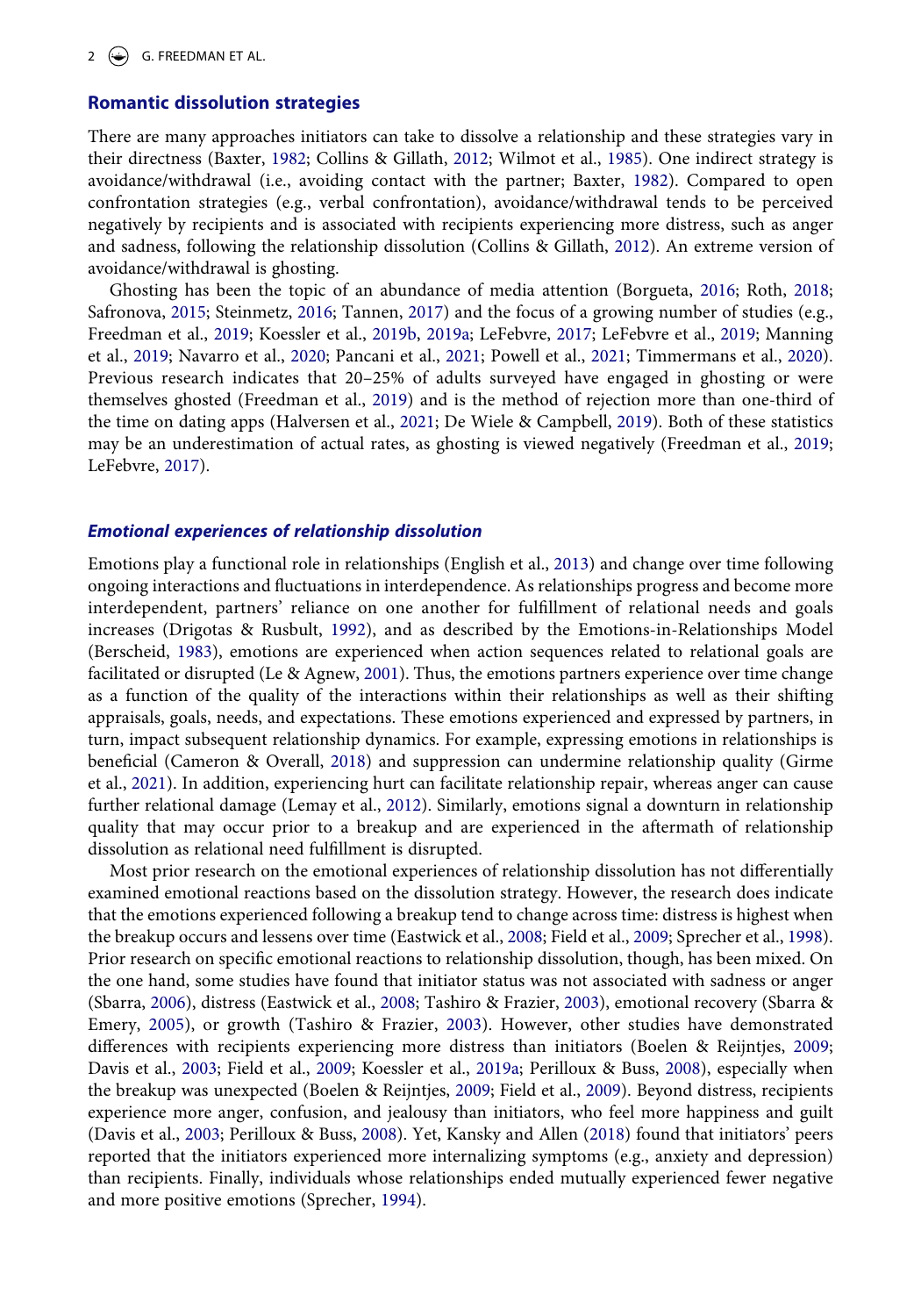#### **Romantic dissolution strategies**

<span id="page-1-15"></span>There are many approaches initiators can take to dissolve a relationship and these strategies vary in their directness (Baxter, [1982;](#page-16-1) Collins & Gillath, [2012](#page-16-2); Wilmot et al., [1985](#page-19-2)). One indirect strategy is avoidance/withdrawal (i.e., avoiding contact with the partner; Baxter, [1982\)](#page-16-1). Compared to open confrontation strategies (e.g., verbal confrontation), avoidance/withdrawal tends to be perceived negatively by recipients and is associated with recipients experiencing more distress, such as anger and sadness, following the relationship dissolution (Collins & Gillath, [2012](#page-16-2)). An extreme version of avoidance/withdrawal is ghosting.

<span id="page-1-12"></span><span id="page-1-11"></span><span id="page-1-2"></span>Ghosting has been the topic of an abundance of media attention (Borgueta, [2016](#page-16-3); Roth, [2018;](#page-18-3) Safronova, [2015;](#page-18-4) Steinmetz, [2016](#page-19-3); Tannen, [2017\)](#page-19-4) and the focus of a growing number of studies (e.g., Freedman et al., [2019](#page-17-0); Koessler et al., [2019b,](#page-17-1) [2019a;](#page-17-5) LeFebvre, [2017;](#page-17-2) LeFebvre et al., [2019;](#page-17-3) Manning et al., [2019](#page-18-1); Navarro et al., [2020](#page-18-2); Pancani et al., [2021](#page-18-5); Powell et al., [2021;](#page-18-0) Timmermans et al., [2020](#page-19-5)). Previous research indicates that 20–25% of adults surveyed have engaged in ghosting or were themselves ghosted (Freedman et al., [2019\)](#page-17-0) and is the method of rejection more than one-third of the time on dating apps (Halversen et al., [2021](#page-17-7); De Wiele & Campbell, [2019\)](#page-16-4). Both of these statistics may be an underestimation of actual rates, as ghosting is viewed negatively (Freedman et al., [2019;](#page-17-0) LeFebvre, [2017](#page-17-2)).

#### <span id="page-1-5"></span>*Emotional experiences of relationship dissolution*

<span id="page-1-9"></span><span id="page-1-7"></span><span id="page-1-6"></span><span id="page-1-0"></span>Emotions play a functional role in relationships (English et al., [2013](#page-17-8)) and change over time following ongoing interactions and fluctuations in interdependence. As relationships progress and become more interdependent, partners' reliance on one another for fulfillment of relational needs and goals increases (Drigotas & Rusbult, [1992](#page-16-5)), and as described by the Emotions-in-Relationships Model (Berscheid, [1983](#page-16-6)), emotions are experienced when action sequences related to relational goals are facilitated or disrupted (Le & Agnew, [2001](#page-17-9)). Thus, the emotions partners experience over time change as a function of the quality of the interactions within their relationships as well as their shifting appraisals, goals, needs, and expectations. These emotions experienced and expressed by partners, in turn, impact subsequent relationship dynamics. For example, expressing emotions in relationships is beneficial (Cameron & Overall, [2018](#page-16-7)) and suppression can undermine relationship quality (Girme et al., [2021](#page-17-10)). In addition, experiencing hurt can facilitate relationship repair, whereas anger can cause further relational damage (Lemay et al., [2012\)](#page-17-11). Similarly, emotions signal a downturn in relationship quality that may occur prior to a breakup and are experienced in the aftermath of relationship dissolution as relational need fulfillment is disrupted.

<span id="page-1-14"></span><span id="page-1-13"></span><span id="page-1-10"></span><span id="page-1-8"></span><span id="page-1-4"></span><span id="page-1-3"></span><span id="page-1-1"></span>Most prior research on the emotional experiences of relationship dissolution has not differentially examined emotional reactions based on the dissolution strategy. However, the research does indicate that the emotions experienced following a breakup tend to change across time: distress is highest when the breakup occurs and lessens over time (Eastwick et al., [2008;](#page-16-0) Field et al., [2009;](#page-17-12) Sprecher et al., [1998](#page-19-1)). Prior research on specific emotional reactions to relationship dissolution, though, has been mixed. On the one hand, some studies have found that initiator status was not associated with sadness or anger (Sbarra, [2006\)](#page-18-6), distress (Eastwick et al., [2008](#page-16-0); Tashiro & Frazier, [2003\)](#page-19-6), emotional recovery (Sbarra & Emery, [2005\)](#page-18-7), or growth (Tashiro & Frazier, [2003\)](#page-19-6). However, other studies have demonstrated differences with recipients experiencing more distress than initiators (Boelen & Reijntjes, [2009;](#page-16-8) Davis et al., [2003;](#page-16-9) Field et al., [2009](#page-17-12); Koessler et al., [2019a](#page-17-5); Perilloux & Buss, [2008](#page-18-8)), especially when the breakup was unexpected (Boelen & Reijntjes, [2009](#page-16-8); Field et al., [2009\)](#page-17-12). Beyond distress, recipients experience more anger, confusion, and jealousy than initiators, who feel more happiness and guilt (Davis et al., [2003](#page-16-9); Perilloux & Buss, [2008](#page-18-8)). Yet, Kansky and Allen ([2018\)](#page-17-13) found that initiators' peers reported that the initiators experienced more internalizing symptoms (e.g., anxiety and depression) than recipients. Finally, individuals whose relationships ended mutually experienced fewer negative and more positive emotions (Sprecher, [1994\)](#page-19-0).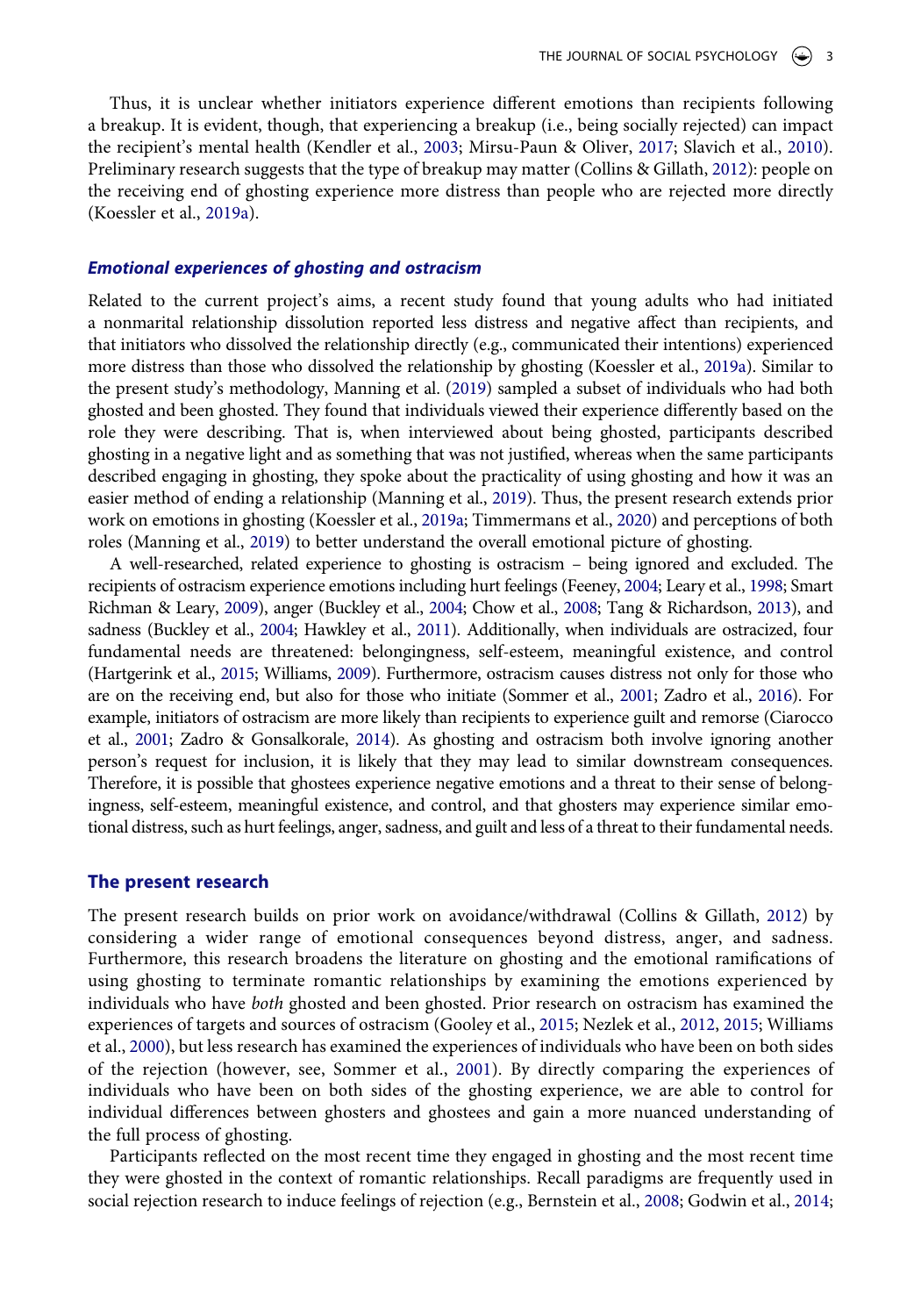<span id="page-2-7"></span>Thus, it is unclear whether initiators experience different emotions than recipients following a breakup. It is evident, though, that experiencing a breakup (i.e., being socially rejected) can impact the recipient's mental health (Kendler et al., [2003](#page-17-14); Mirsu-Paun & Oliver, [2017;](#page-18-9) Slavich et al., [2010](#page-18-10)). Preliminary research suggests that the type of breakup may matter (Collins & Gillath, [2012\)](#page-16-2): people on the receiving end of ghosting experience more distress than people who are rejected more directly (Koessler et al., [2019a](#page-17-5)).

#### *Emotional experiences of ghosting and ostracism*

Related to the current project's aims, a recent study found that young adults who had initiated a nonmarital relationship dissolution reported less distress and negative affect than recipients, and that initiators who dissolved the relationship directly (e.g., communicated their intentions) experienced more distress than those who dissolved the relationship by ghosting (Koessler et al., [2019a](#page-17-5)). Similar to the present study's methodology, Manning et al. [\(2019\)](#page-18-1) sampled a subset of individuals who had both ghosted and been ghosted. They found that individuals viewed their experience differently based on the role they were describing. That is, when interviewed about being ghosted, participants described ghosting in a negative light and as something that was not justified, whereas when the same participants described engaging in ghosting, they spoke about the practicality of using ghosting and how it was an easier method of ending a relationship (Manning et al., [2019](#page-18-1)). Thus, the present research extends prior work on emotions in ghosting (Koessler et al., [2019a;](#page-17-5) Timmermans et al., [2020](#page-19-5)) and perceptions of both roles (Manning et al., [2019](#page-18-1)) to better understand the overall emotional picture of ghosting.

<span id="page-2-10"></span><span id="page-2-6"></span><span id="page-2-4"></span><span id="page-2-2"></span><span id="page-2-1"></span>A well-researched, related experience to ghosting is ostracism – being ignored and excluded. The recipients of ostracism experience emotions including hurt feelings (Feeney, [2004](#page-17-15); Leary et al., [1998](#page-17-16); Smart Richman & Leary, [2009](#page-18-11)), anger (Buckley et al., [2004](#page-16-10); Chow et al., [2008;](#page-16-11) Tang & Richardson, [2013\)](#page-19-7), and sadness (Buckley et al., [2004;](#page-16-10) Hawkley et al., [2011\)](#page-17-17). Additionally, when individuals are ostracized, four fundamental needs are threatened: belongingness, self-esteem, meaningful existence, and control (Hartgerink et al., [2015](#page-17-18); Williams, [2009\)](#page-19-8). Furthermore, ostracism causes distress not only for those who are on the receiving end, but also for those who initiate (Sommer et al., [2001;](#page-18-12) Zadro et al., [2016](#page-19-9)). For example, initiators of ostracism are more likely than recipients to experience guilt and remorse (Ciarocco et al., [2001](#page-16-12); Zadro & Gonsalkorale, [2014](#page-19-10)). As ghosting and ostracism both involve ignoring another person's request for inclusion, it is likely that they may lead to similar downstream consequences. Therefore, it is possible that ghostees experience negative emotions and a threat to their sense of belongingness, self-esteem, meaningful existence, and control, and that ghosters may experience similar emotional distress, such as hurt feelings, anger, sadness, and guilt and less of a threat to their fundamental needs.

#### <span id="page-2-3"></span>**The present research**

<span id="page-2-5"></span>The present research builds on prior work on avoidance/withdrawal (Collins & Gillath, [2012\)](#page-16-2) by considering a wider range of emotional consequences beyond distress, anger, and sadness. Furthermore, this research broadens the literature on ghosting and the emotional ramifications of using ghosting to terminate romantic relationships by examining the emotions experienced by individuals who have *both* ghosted and been ghosted. Prior research on ostracism has examined the experiences of targets and sources of ostracism (Gooley et al., [2015](#page-17-19); Nezlek et al., [2012](#page-18-13), [2015](#page-18-14); Williams et al., [2000](#page-19-11)), but less research has examined the experiences of individuals who have been on both sides of the rejection (however, see, Sommer et al., [2001](#page-18-12)). By directly comparing the experiences of individuals who have been on both sides of the ghosting experience, we are able to control for individual differences between ghosters and ghostees and gain a more nuanced understanding of the full process of ghosting.

<span id="page-2-9"></span><span id="page-2-8"></span><span id="page-2-0"></span>Participants reflected on the most recent time they engaged in ghosting and the most recent time they were ghosted in the context of romantic relationships. Recall paradigms are frequently used in social rejection research to induce feelings of rejection (e.g., Bernstein et al., [2008;](#page-16-13) Godwin et al., [2014;](#page-17-20)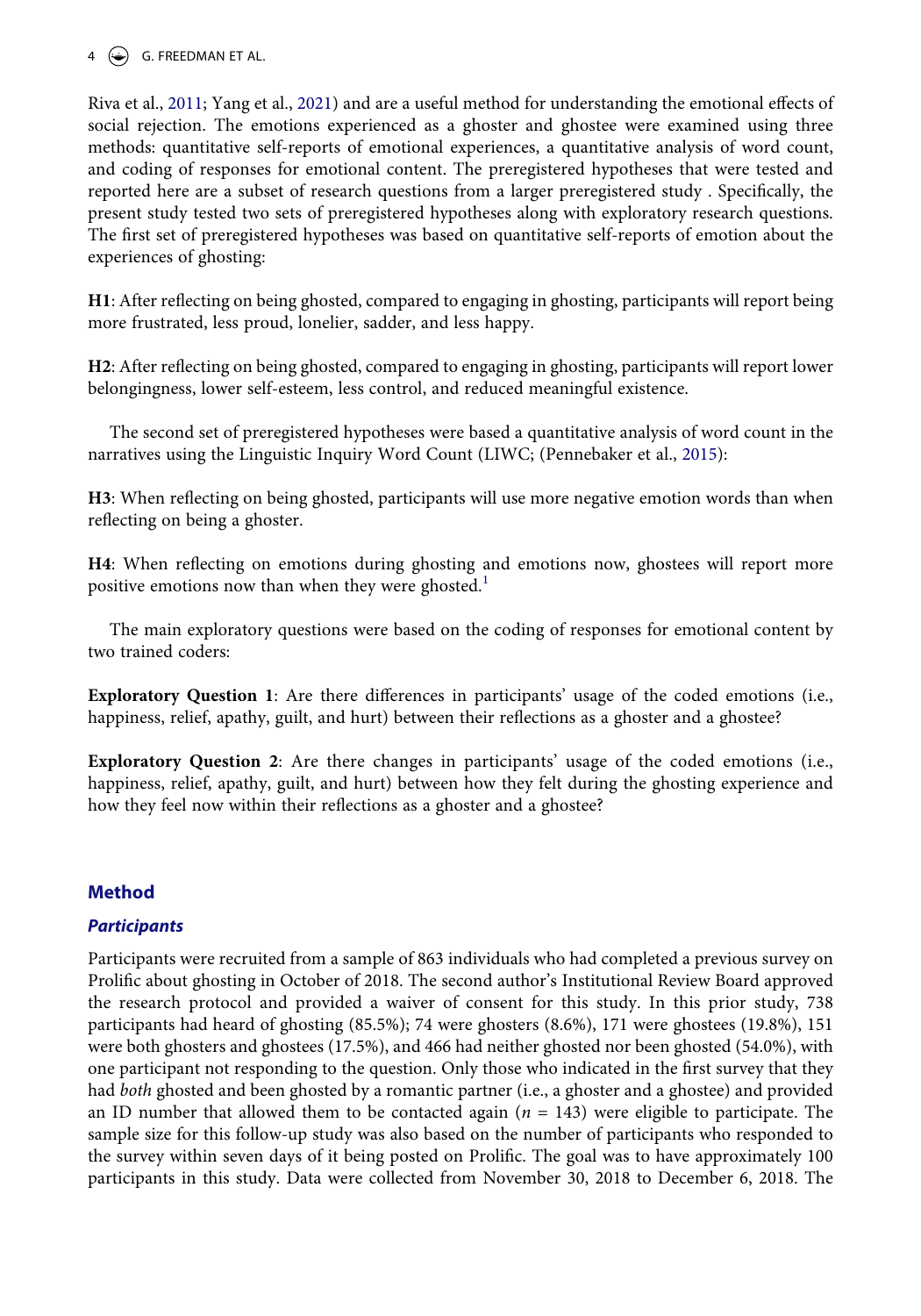# 4  $\left(\frac{1}{2}\right)$  G. FREEDMAN ET AL.

<span id="page-3-1"></span>Riva et al., [2011](#page-18-15); Yang et al., [2021\)](#page-19-12) and are a useful method for understanding the emotional effects of social rejection. The emotions experienced as a ghoster and ghostee were examined using three methods: quantitative self-reports of emotional experiences, a quantitative analysis of word count, and coding of responses for emotional content. The preregistered hypotheses that were tested and reported here are a subset of research questions from a larger preregistered study . Specifically, the present study tested two sets of preregistered hypotheses along with exploratory research questions. The first set of preregistered hypotheses was based on quantitative self-reports of emotion about the experiences of ghosting:

**H1**: After reflecting on being ghosted, compared to engaging in ghosting, participants will report being more frustrated, less proud, lonelier, sadder, and less happy.

**H2**: After reflecting on being ghosted, compared to engaging in ghosting, participants will report lower belongingness, lower self-esteem, less control, and reduced meaningful existence.

<span id="page-3-0"></span>The second set of preregistered hypotheses were based a quantitative analysis of word count in the narratives using the Linguistic Inquiry Word Count (LIWC; (Pennebaker et al., [2015](#page-18-16)):

**H3**: When reflecting on being ghosted, participants will use more negative emotion words than when reflecting on being a ghoster.

**H4**: When reflecting on emotions during ghosting and emotions now, ghostees will report more positive emotions now than when they were ghosted.<sup>[1](#page-15-0)</sup>

The main exploratory questions were based on the coding of responses for emotional content by two trained coders:

**Exploratory Question 1**: Are there differences in participants' usage of the coded emotions (i.e., happiness, relief, apathy, guilt, and hurt) between their reflections as a ghoster and a ghostee?

**Exploratory Question 2**: Are there changes in participants' usage of the coded emotions (i.e., happiness, relief, apathy, guilt, and hurt) between how they felt during the ghosting experience and how they feel now within their reflections as a ghoster and a ghostee?

# **Method**

# *Participants*

Participants were recruited from a sample of 863 individuals who had completed a previous survey on Prolific about ghosting in October of 2018. The second author's Institutional Review Board approved the research protocol and provided a waiver of consent for this study. In this prior study, 738 participants had heard of ghosting (85.5%); 74 were ghosters (8.6%), 171 were ghostees (19.8%), 151 were both ghosters and ghostees (17.5%), and 466 had neither ghosted nor been ghosted (54.0%), with one participant not responding to the question. Only those who indicated in the first survey that they had *both* ghosted and been ghosted by a romantic partner (i.e., a ghoster and a ghostee) and provided an ID number that allowed them to be contacted again (*n* = 143) were eligible to participate. The sample size for this follow-up study was also based on the number of participants who responded to the survey within seven days of it being posted on Prolific. The goal was to have approximately 100 participants in this study. Data were collected from November 30, 2018 to December 6, 2018. The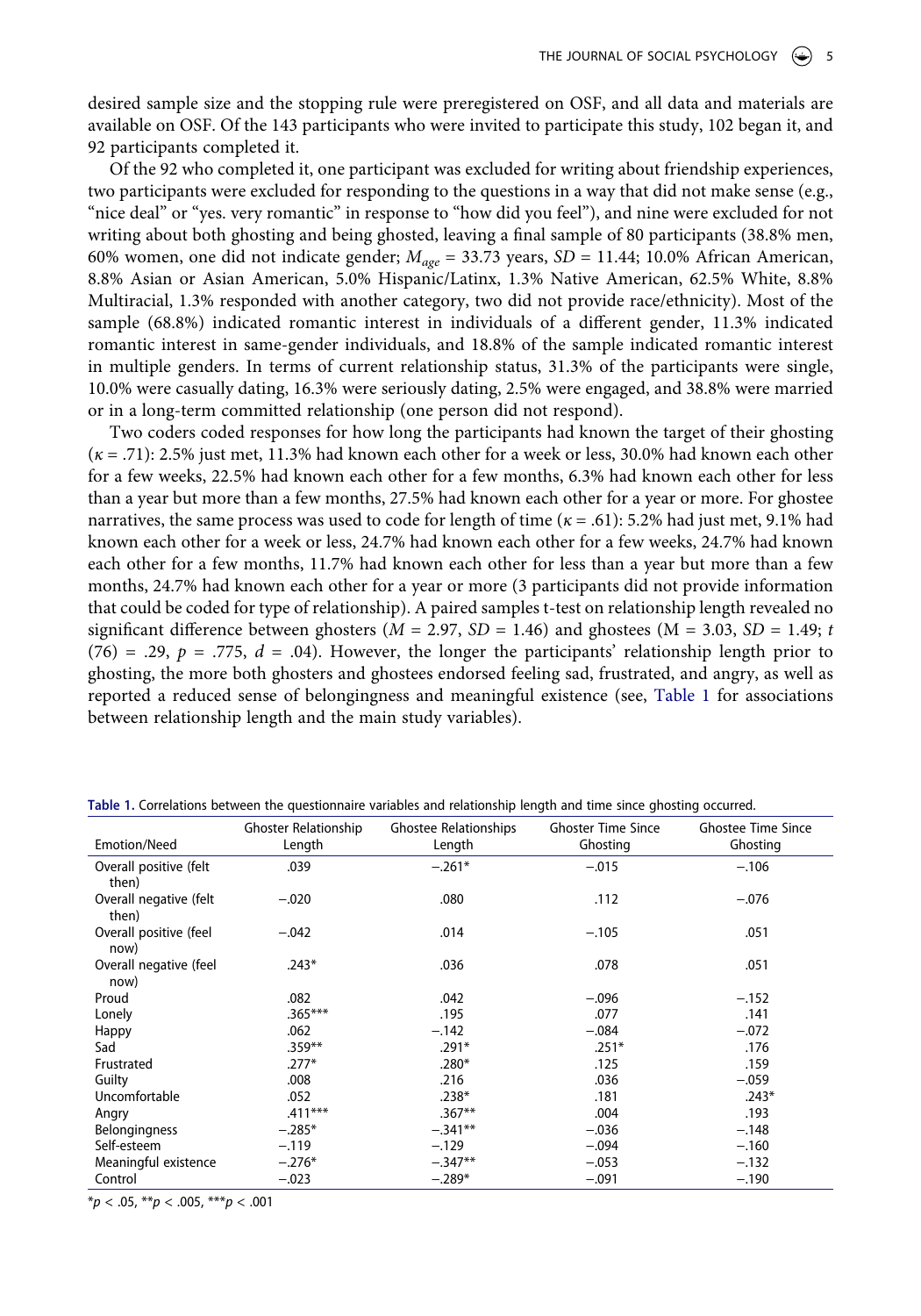desired sample size and the stopping rule were preregistered on OSF, and all data and materials are available on OSF. Of the 143 participants who were invited to participate this study, 102 began it, and 92 participants completed it.

Of the 92 who completed it, one participant was excluded for writing about friendship experiences, two participants were excluded for responding to the questions in a way that did not make sense (e.g., "nice deal" or "yes. very romantic" in response to "how did you feel"), and nine were excluded for not writing about both ghosting and being ghosted, leaving a final sample of 80 participants (38.8% men, 60% women, one did not indicate gender; *Mage* = 33.73 years, *SD* = 11.44; 10.0% African American, 8.8% Asian or Asian American, 5.0% Hispanic/Latinx, 1.3% Native American, 62.5% White, 8.8% Multiracial, 1.3% responded with another category, two did not provide race/ethnicity). Most of the sample (68.8%) indicated romantic interest in individuals of a different gender, 11.3% indicated romantic interest in same-gender individuals, and 18.8% of the sample indicated romantic interest in multiple genders. In terms of current relationship status, 31.3% of the participants were single, 10.0% were casually dating, 16.3% were seriously dating, 2.5% were engaged, and 38.8% were married or in a long-term committed relationship (one person did not respond).

Two coders coded responses for how long the participants had known the target of their ghosting (*κ* = .71): 2.5% just met, 11.3% had known each other for a week or less, 30.0% had known each other for a few weeks, 22.5% had known each other for a few months, 6.3% had known each other for less than a year but more than a few months, 27.5% had known each other for a year or more. For ghostee narratives, the same process was used to code for length of time (*κ* = .61): 5.2% had just met, 9.1% had known each other for a week or less, 24.7% had known each other for a few weeks, 24.7% had known each other for a few months, 11.7% had known each other for less than a year but more than a few months, 24.7% had known each other for a year or more (3 participants did not provide information that could be coded for type of relationship). A paired samples t-test on relationship length revealed no significant difference between ghosters ( $M = 2.97$ ,  $SD = 1.46$ ) and ghostees ( $M = 3.03$ ,  $SD = 1.49$ ; *t* (76) = .29,  $p = .775$ ,  $d = .04$ ). However, the longer the participants' relationship length prior to ghosting, the more both ghosters and ghostees endorsed feeling sad, frustrated, and angry, as well as reported a reduced sense of belongingness and meaningful existence (see, [Table 1](#page-4-0) for associations between relationship length and the main study variables).

|                                 | Ghoster Relationship | <b>Ghostee Relationships</b> | <b>Ghoster Time Since</b> | <b>Ghostee Time Since</b> |
|---------------------------------|----------------------|------------------------------|---------------------------|---------------------------|
| Emotion/Need                    | Length               | Length                       | Ghosting                  | Ghosting                  |
| Overall positive (felt<br>then) | .039                 | $-.261*$                     | $-.015$                   | $-.106$                   |
| Overall negative (felt<br>then) | $-.020$              | .080                         | .112                      | $-.076$                   |
| Overall positive (feel<br>now)  | $-.042$              | .014                         | $-.105$                   | .051                      |
| Overall negative (feel<br>now)  | $.243*$              | .036                         | .078                      | .051                      |
| Proud                           | .082                 | .042                         | $-.096$                   | $-.152$                   |
| Lonely                          | $.365***$            | .195                         | .077                      | .141                      |
| Happy                           | .062                 | $-.142$                      | $-.084$                   | $-.072$                   |
| Sad                             | $.359***$            | .291*                        | $.251*$                   | .176                      |
| Frustrated                      | $.277*$              | $.280*$                      | .125                      | .159                      |
| Guilty                          | .008                 | .216                         | .036                      | $-.059$                   |
| Uncomfortable                   | .052                 | $.238*$                      | .181                      | $.243*$                   |
| Angry                           | $.411***$            | $.367**$                     | .004                      | .193                      |
| <b>Belongingness</b>            | $-.285*$             | $-.341**$                    | $-.036$                   | $-.148$                   |
| Self-esteem                     | $-.119$              | $-.129$                      | $-.094$                   | $-.160$                   |
| Meaningful existence            | $-.276*$             | $-.347**$                    | $-.053$                   | $-.132$                   |
| Control                         | $-.023$              | $-.289*$                     | $-.091$                   | $-.190$                   |

<span id="page-4-0"></span>**Table 1.** Correlations between the questionnaire variables and relationship length and time since ghosting occurred.

\**p* < .05, \*\**p* < .005, \*\*\**p* < .001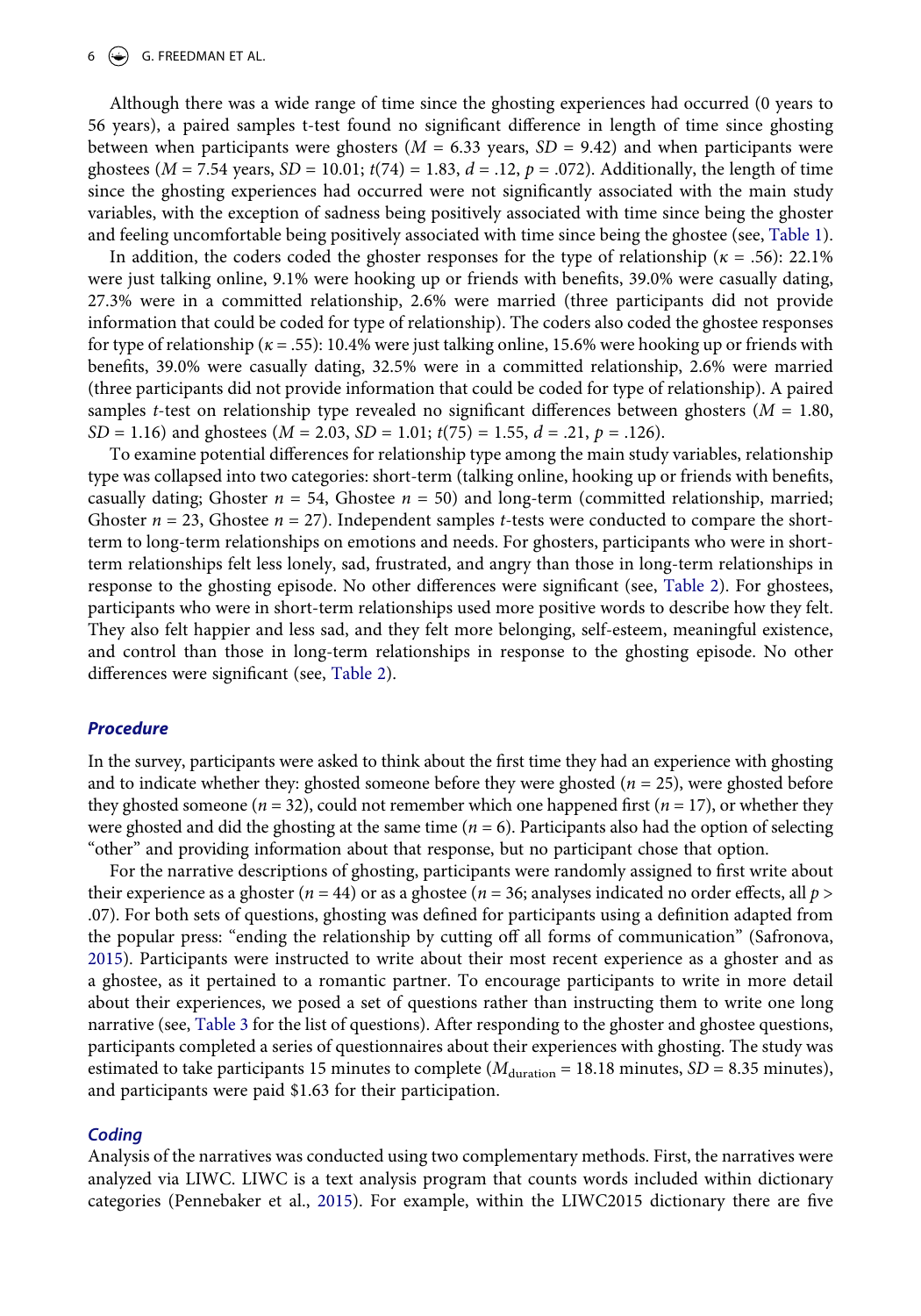#### 6  $\left(\frac{1}{2}\right)$  G. FREEDMAN ET AL.

Although there was a wide range of time since the ghosting experiences had occurred (0 years to 56 years), a paired samples t-test found no significant difference in length of time since ghosting between when participants were ghosters ( $M = 6.33$  years,  $SD = 9.42$ ) and when participants were ghostees ( $M = 7.54$  years,  $SD = 10.01$ ;  $t(74) = 1.83$ ,  $d = .12$ ,  $p = .072$ ). Additionally, the length of time since the ghosting experiences had occurred were not significantly associated with the main study variables, with the exception of sadness being positively associated with time since being the ghoster and feeling uncomfortable being positively associated with time since being the ghostee (see, [Table 1](#page-4-0)).

In addition, the coders coded the ghoster responses for the type of relationship (*κ* = .56): 22.1% were just talking online, 9.1% were hooking up or friends with benefits, 39.0% were casually dating, 27.3% were in a committed relationship, 2.6% were married (three participants did not provide information that could be coded for type of relationship). The coders also coded the ghostee responses for type of relationship (*κ* = .55): 10.4% were just talking online, 15.6% were hooking up or friends with benefits, 39.0% were casually dating, 32.5% were in a committed relationship, 2.6% were married (three participants did not provide information that could be coded for type of relationship). A paired samples *t*-test on relationship type revealed no significant differences between ghosters (*M* = 1.80, *SD* = 1.16) and ghostees (*M* = 2.03, *SD* = 1.01; *t*(75) = 1.55, *d* = .21, *p* = .126).

To examine potential differences for relationship type among the main study variables, relationship type was collapsed into two categories: short-term (talking online, hooking up or friends with benefits, casually dating; Ghoster  $n = 54$ , Ghostee  $n = 50$ ) and long-term (committed relationship, married; Ghoster  $n = 23$ , Ghostee  $n = 27$ ). Independent samples *t*-tests were conducted to compare the shortterm to long-term relationships on emotions and needs. For ghosters, participants who were in shortterm relationships felt less lonely, sad, frustrated, and angry than those in long-term relationships in response to the ghosting episode. No other differences were significant (see, [Table 2](#page-6-0)). For ghostees, participants who were in short-term relationships used more positive words to describe how they felt. They also felt happier and less sad, and they felt more belonging, self-esteem, meaningful existence, and control than those in long-term relationships in response to the ghosting episode. No other differences were significant (see, [Table 2](#page-6-0)).

#### *Procedure*

In the survey, participants were asked to think about the first time they had an experience with ghosting and to indicate whether they: ghosted someone before they were ghosted (*n* = 25), were ghosted before they ghosted someone ( $n = 32$ ), could not remember which one happened first ( $n = 17$ ), or whether they were ghosted and did the ghosting at the same time (*n* = 6). Participants also had the option of selecting "other" and providing information about that response, but no participant chose that option.

For the narrative descriptions of ghosting, participants were randomly assigned to first write about their experience as a ghoster ( $n = 44$ ) or as a ghostee ( $n = 36$ ; analyses indicated no order effects, all  $p >$ .07). For both sets of questions, ghosting was defined for participants using a definition adapted from the popular press: "ending the relationship by cutting off all forms of communication" (Safronova, [2015](#page-18-4)). Participants were instructed to write about their most recent experience as a ghoster and as a ghostee, as it pertained to a romantic partner. To encourage participants to write in more detail about their experiences, we posed a set of questions rather than instructing them to write one long narrative (see, [Table 3](#page-7-0) for the list of questions). After responding to the ghoster and ghostee questions, participants completed a series of questionnaires about their experiences with ghosting. The study was estimated to take participants 15 minutes to complete ( $M_{\text{duration}} = 18.18$  minutes, *SD* = 8.35 minutes), and participants were paid \$1.63 for their participation.

#### *Coding*

Analysis of the narratives was conducted using two complementary methods. First, the narratives were analyzed via LIWC. LIWC is a text analysis program that counts words included within dictionary categories (Pennebaker et al., [2015\)](#page-18-16). For example, within the LIWC2015 dictionary there are five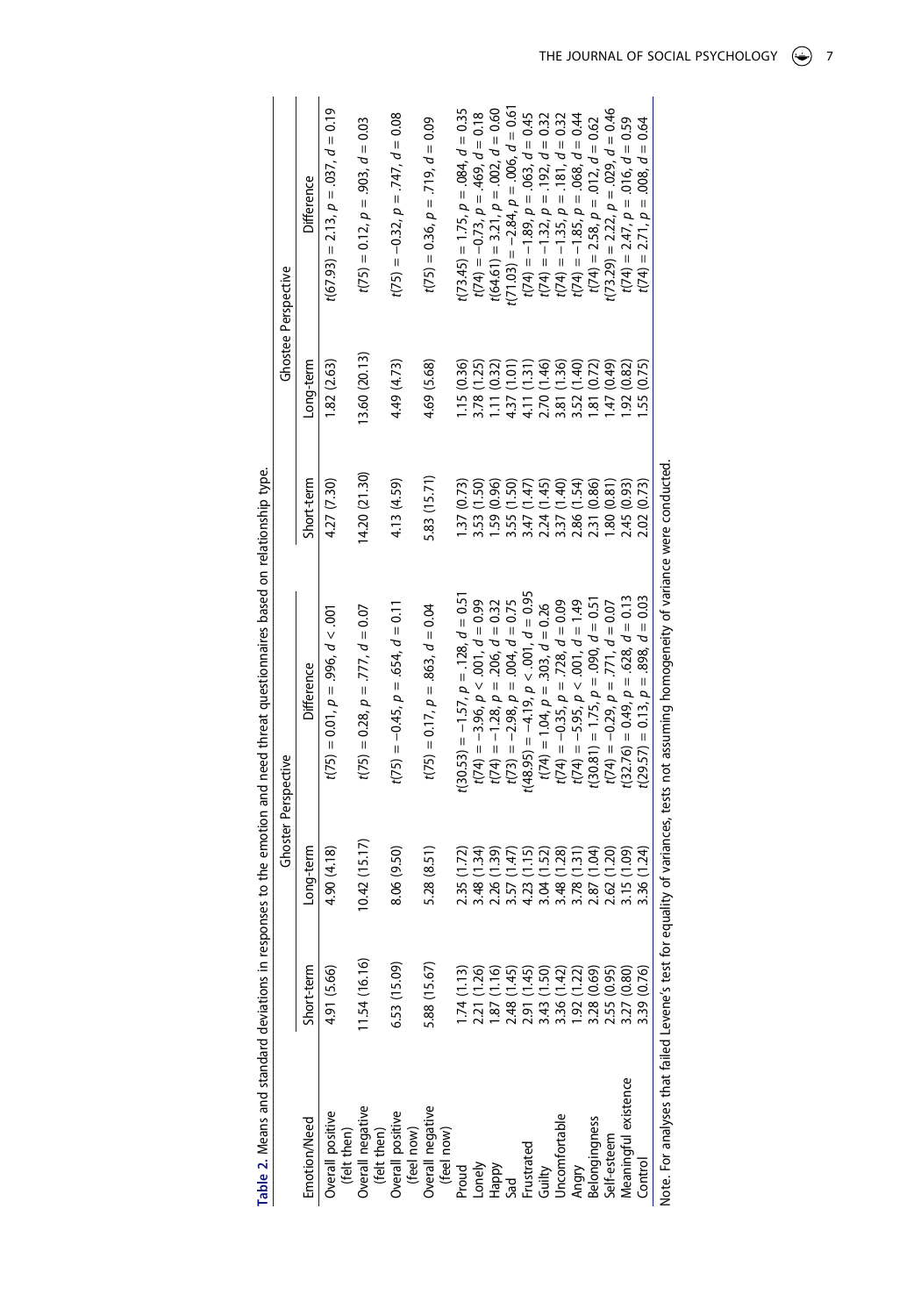<span id="page-6-0"></span>

|                                                        |              |               | Ghoster Perspective                                                          |               |                 | Ghostee Perspective                                                                    |
|--------------------------------------------------------|--------------|---------------|------------------------------------------------------------------------------|---------------|-----------------|----------------------------------------------------------------------------------------|
| Emotion/Need                                           | Short-term   | Long-term     | Difference                                                                   | Short-term    | Long-term       | Difference                                                                             |
| Overall positive<br>(felt then)                        | 4.91 (5.66)  | 4.90 (4.18)   | $t(75) = 0.01$ , $p = .996$ , $d < .001$                                     | 4.27 (7.30)   | 1.82(2.63)      | $t(67.93) = 2.13$ , $p = .037$ , $d = 0.19$                                            |
| Overall negative<br>(felt then)                        | 1.54(16.16)  | (0.42(15.17)) | $t(75) = 0.28$ , $p = .777$ , $d = 0.07$                                     | 14.20 (21.30) | 13.60(20.13)    | $t(75) = 0.12$ , $p = .903$ , $d = 0.03$                                               |
| Overall positive<br>(feel now)                         | 6.53 (15.09) | 8.06 (9.50)   | $t(75) = -0.45$ , $p = .654$ , $d = 0.11$                                    | 4.13 (4.59)   | 4.49 (4.73)     | $t(75) = -0.32$ , $p = .747$ , $d = 0.08$                                              |
| Overall negative<br>(feel now)                         | 5.88 (15.67) | 5.28 (8.51)   | $t(75) = 0.17$ , $p = .863$ , $d = 0.04$                                     | 5.83 (15.71)  | 4.69 (5.68)     | $t(75) = 0.36$ , $p = .719$ , $d = 0.09$                                               |
| Proud                                                  | 1.74(1.13)   | 2.35 (1.72)   | $t(30.53) = -1.57$ , $p = .128$ , $d = 0.51$                                 | .37(0.73)     | 1.15 (0.36)     | $(73.45) = 1.75$ , $p = .084$ , $d = 0.35$                                             |
| Lonely                                                 | 2.21 (1.26)  | 3.48(1.34)    | $t(74) = -3.96, p < .001, d = 0.99$                                          | 3.53 (1.50)   | 3.78 (1.25)     | $t(74) = -0.73$ , $p = .469$ , $d = 0.18$                                              |
|                                                        | .87(1.16)    | 2.26 (1.39)   | $t(74) = -1.28$ , $p = .206$ , $d = 0.32$                                    | 1.59(0.96)    | 11(0.32)        | $(64.61) = 3.21$ , $p = .002$ , $d = 0.60$                                             |
| Happy<br>Sad                                           | 2.48 (1.45)  | 3.57 (1.47)   | $t(73) = -2.98$ , $p = .004$ , $d = 0.75$                                    | 3.55 (1.50)   | 4.37 (1.01)     | $(71.03) = -2.84$ , $p = .006$ , $d = 0.61$                                            |
| Frustrated                                             | 2.91 (1.45)  | 4.23 (1.15)   | $t(48.95) = -4.19, p < .001, d = 0.95$                                       | 3.47 (1.47)   | 4.11 (1.31)     | $t(74) = -1.89$ , $p = .063$ , $d = 0.45$                                              |
| Guilty                                                 | 3.43 (1.50)  | 3.04(1.52)    | $t(74) = 1.04$ , $p = .303$ , $d = 0.26$                                     | 2.24 (1.45)   | 2.70 (1.46)     |                                                                                        |
| Uncomfortable                                          | 3.36 (1.42)  | 3.48 (1.28)   | $t(74) = -0.35$ , $p = .728$ , $d = 0.09$                                    | 3.37 (1.40)   | (1.36)<br>3.81( | $t(74) = -1.32$ , $p = .192$ , $d = 0.32$<br>$t(74) = -1.35$ , $p = .181$ , $d = 0.32$ |
| Angry                                                  | .92(1.22)    | 3.78 (1.31)   | $t(74) = -5.95$ , $p < .001$ , $d = 1.49$                                    | 2.86 (1.54)   | 3.52 (1.40)     | $t(74) = -1.85$ , $p = .068$ , $d = 0.44$                                              |
| Belongingness                                          | 3.28 (0.69)  | 2.87 (1.04)   | $t(30.81) = 1.75$ , $p = .090$ , $d = 0.51$                                  | 2.31 (0.86)   | 81 (0.72)       | $t(74) = 2.58$ , $p = .012$ , $d = 0.62$                                               |
| Self-esteem                                            | 2.55 (0.95)  | 2.62 (1.20)   | $t(74) = -0.29$ , $p = .771$ , $d = 0.07$                                    | .80(0.81)     | $(64.0)$ $(47)$ | $(73.29) = 2.22$ , $p = .029$ , $d = 0.46$                                             |
| Meaningful existence                                   | 3.27 (0.80)  | 3.15 (1.09)   | $t(32.76) = 0.49$ , $p = .628$ , $d = 0.13$                                  | 2.45 (0.93)   | (0.82)          | $t(74) = 2.47$ , $p = .016$ , $d = 0.59$                                               |
| Control                                                | 1.39 (0.76)  | 3.36 (1.24)   | $t(29.57) = 0.13$ , $p = .898$ , $d = 0.03$                                  | 2.02 (0.73)   | 55 (0.75)       | $t(74) = 2.71$ , $p = .008$ , $d = 0.64$                                               |
| Note. For analyses that failed Levene's test for equal |              |               | lity of variances, tests not assuming homogeneity of variance were conducted |               |                 |                                                                                        |

Table 2. Means and standard deviations in responses to the emotion and need threat questionnaires based on relationship type. **Table 2.** Means and standard deviations in responses to the emotion and need threat questionnaires based on relationship type.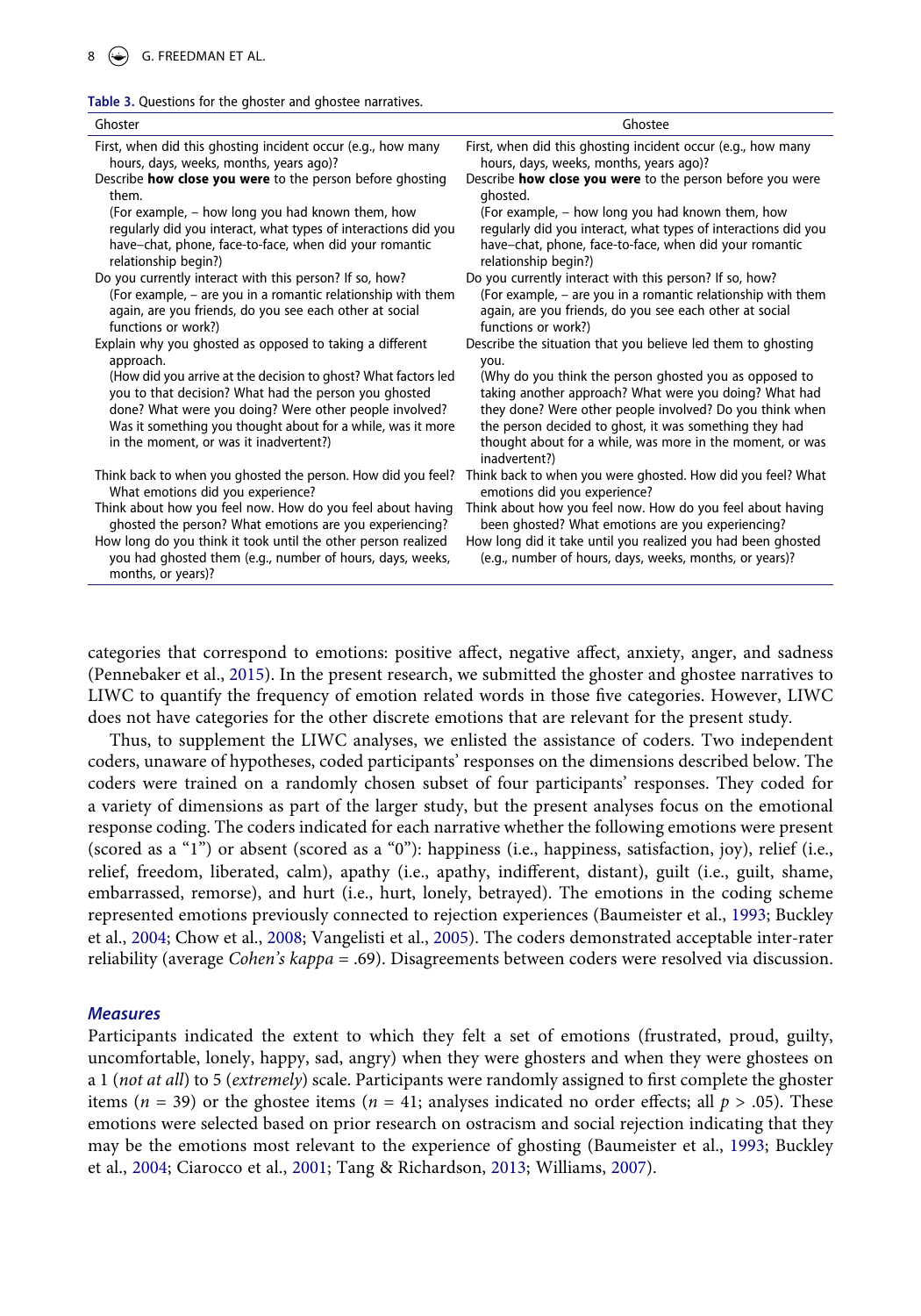<span id="page-7-0"></span>

| Table 3. Questions for the ghoster and ghostee narratives. |  |  |  |  |
|------------------------------------------------------------|--|--|--|--|
|------------------------------------------------------------|--|--|--|--|

| Ghoster                                                                                                                                                         | Ghostee                                                                                                                                                                                          |
|-----------------------------------------------------------------------------------------------------------------------------------------------------------------|--------------------------------------------------------------------------------------------------------------------------------------------------------------------------------------------------|
| First, when did this ghosting incident occur (e.g., how many                                                                                                    | First, when did this ghosting incident occur (e.g., how many                                                                                                                                     |
| hours, days, weeks, months, years ago)?                                                                                                                         | hours, days, weeks, months, years ago)?                                                                                                                                                          |
| Describe how close you were to the person before ghosting                                                                                                       | Describe how close you were to the person before you were                                                                                                                                        |
| them.                                                                                                                                                           | ghosted.                                                                                                                                                                                         |
| (For example, – how long you had known them, how                                                                                                                | (For example, – how long you had known them, how                                                                                                                                                 |
| regularly did you interact, what types of interactions did you                                                                                                  | regularly did you interact, what types of interactions did you                                                                                                                                   |
| have-chat, phone, face-to-face, when did your romantic                                                                                                          | have-chat, phone, face-to-face, when did your romantic                                                                                                                                           |
| relationship begin?)                                                                                                                                            | relationship begin?)                                                                                                                                                                             |
| Do you currently interact with this person? If so, how?                                                                                                         | Do you currently interact with this person? If so, how?                                                                                                                                          |
| (For example, – are you in a romantic relationship with them                                                                                                    | (For example, – are you in a romantic relationship with them                                                                                                                                     |
| again, are you friends, do you see each other at social                                                                                                         | again, are you friends, do you see each other at social                                                                                                                                          |
| functions or work?)                                                                                                                                             | functions or work?)                                                                                                                                                                              |
| Explain why you ghosted as opposed to taking a different                                                                                                        | Describe the situation that you believe led them to ghosting                                                                                                                                     |
| approach.                                                                                                                                                       | you.                                                                                                                                                                                             |
| (How did you arrive at the decision to ghost? What factors led                                                                                                  | (Why do you think the person ghosted you as opposed to                                                                                                                                           |
| you to that decision? What had the person you ghosted                                                                                                           | taking another approach? What were you doing? What had                                                                                                                                           |
| done? What were you doing? Were other people involved?<br>Was it something you thought about for a while, was it more<br>in the moment, or was it inadvertent?) | they done? Were other people involved? Do you think when<br>the person decided to ghost, it was something they had<br>thought about for a while, was more in the moment, or was<br>inadvertent?) |
| Think back to when you ghosted the person. How did you feel?                                                                                                    | Think back to when you were ghosted. How did you feel? What                                                                                                                                      |
| What emotions did you experience?                                                                                                                               | emotions did you experience?                                                                                                                                                                     |
| Think about how you feel now. How do you feel about having                                                                                                      | Think about how you feel now. How do you feel about having                                                                                                                                       |
| ghosted the person? What emotions are you experiencing?                                                                                                         | been ghosted? What emotions are you experiencing?                                                                                                                                                |
| How long do you think it took until the other person realized<br>you had ghosted them (e.g., number of hours, days, weeks,<br>months, or years)?                | How long did it take until you realized you had been ghosted<br>(e.g., number of hours, days, weeks, months, or years)?                                                                          |

categories that correspond to emotions: positive affect, negative affect, anxiety, anger, and sadness (Pennebaker et al., [2015\)](#page-18-16). In the present research, we submitted the ghoster and ghostee narratives to LIWC to quantify the frequency of emotion related words in those five categories. However, LIWC does not have categories for the other discrete emotions that are relevant for the present study.

Thus, to supplement the LIWC analyses, we enlisted the assistance of coders. Two independent coders, unaware of hypotheses, coded participants' responses on the dimensions described below. The coders were trained on a randomly chosen subset of four participants' responses. They coded for a variety of dimensions as part of the larger study, but the present analyses focus on the emotional response coding. The coders indicated for each narrative whether the following emotions were present (scored as a "1") or absent (scored as a "0"): happiness (i.e., happiness, satisfaction, joy), relief (i.e., relief, freedom, liberated, calm), apathy (i.e., apathy, indifferent, distant), guilt (i.e., guilt, shame, embarrassed, remorse), and hurt (i.e., hurt, lonely, betrayed). The emotions in the coding scheme represented emotions previously connected to rejection experiences (Baumeister et al., [1993](#page-16-14); Buckley et al., [2004](#page-16-10); Chow et al., [2008](#page-16-11); Vangelisti et al., [2005](#page-19-13)). The coders demonstrated acceptable inter-rater reliability (average *Cohen's kappa* = .69). Disagreements between coders were resolved via discussion.

#### <span id="page-7-2"></span>*Measures*

<span id="page-7-3"></span><span id="page-7-1"></span>Participants indicated the extent to which they felt a set of emotions (frustrated, proud, guilty, uncomfortable, lonely, happy, sad, angry) when they were ghosters and when they were ghostees on a 1 (*not at all*) to 5 (*extremely*) scale. Participants were randomly assigned to first complete the ghoster items ( $n = 39$ ) or the ghostee items ( $n = 41$ ; analyses indicated no order effects; all  $p > .05$ ). These emotions were selected based on prior research on ostracism and social rejection indicating that they may be the emotions most relevant to the experience of ghosting (Baumeister et al., [1993;](#page-16-14) Buckley et al., [2004;](#page-16-10) Ciarocco et al., [2001](#page-16-12); Tang & Richardson, [2013;](#page-19-7) Williams, [2007\)](#page-19-14).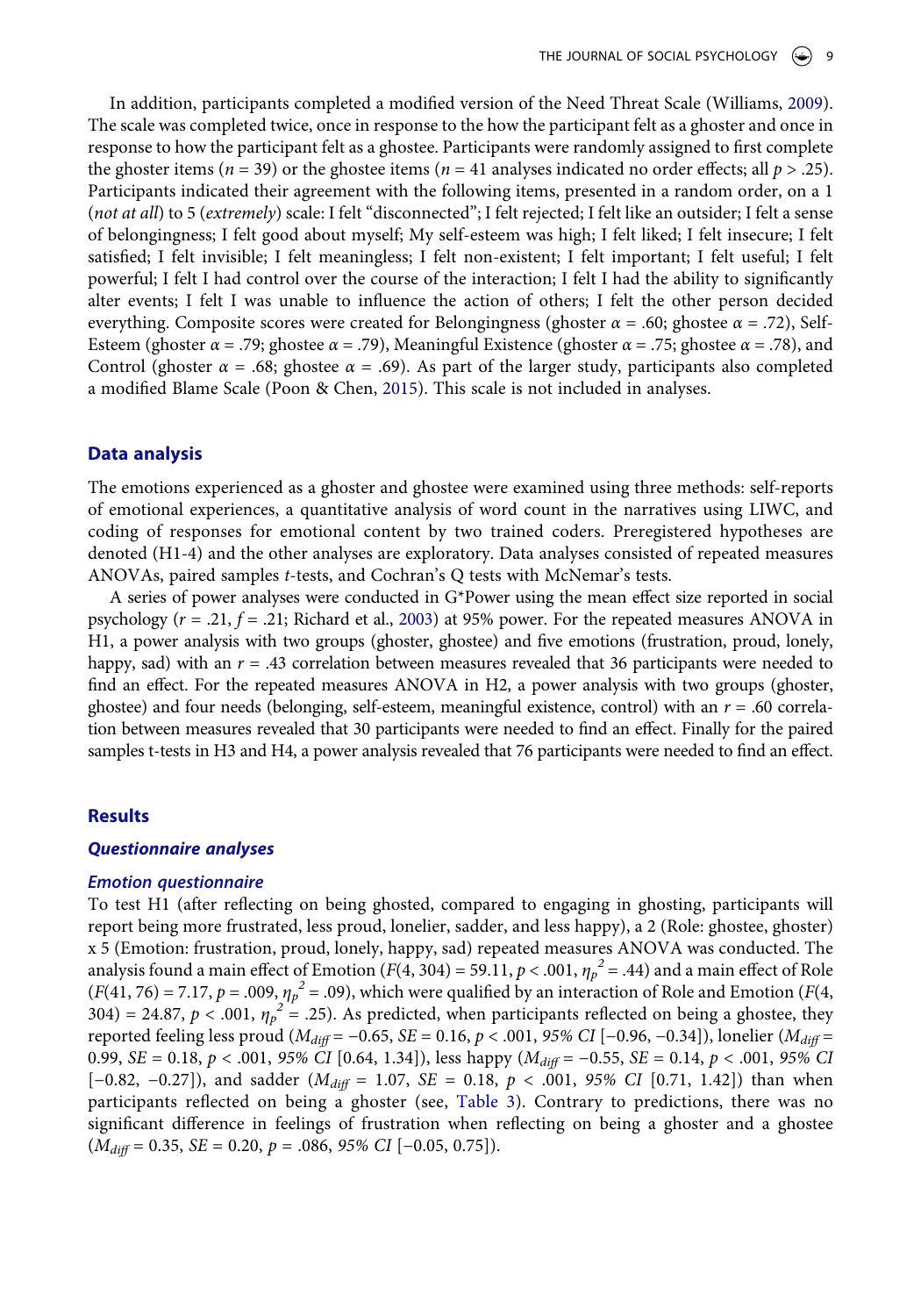In addition, participants completed a modified version of the Need Threat Scale (Williams, [2009](#page-19-8)). The scale was completed twice, once in response to the how the participant felt as a ghoster and once in response to how the participant felt as a ghostee. Participants were randomly assigned to first complete the ghoster items ( $n = 39$ ) or the ghostee items ( $n = 41$  analyses indicated no order effects; all  $p > .25$ ). Participants indicated their agreement with the following items, presented in a random order, on a 1 (*not at all*) to 5 (*extremely*) scale: I felt "disconnected"; I felt rejected; I felt like an outsider; I felt a sense of belongingness; I felt good about myself; My self-esteem was high; I felt liked; I felt insecure; I felt satisfied; I felt invisible; I felt meaningless; I felt non-existent; I felt important; I felt useful; I felt powerful; I felt I had control over the course of the interaction; I felt I had the ability to significantly alter events; I felt I was unable to influence the action of others; I felt the other person decided everything. Composite scores were created for Belongingness (ghoster *α* = .60; ghostee *α* = .72), Self-Esteem (ghoster *α* = .79; ghostee *α* = .79), Meaningful Existence (ghoster *α* = .75; ghostee *α* = .78), and Control (ghoster  $\alpha = .68$ ; ghostee  $\alpha = .69$ ). As part of the larger study, participants also completed a modified Blame Scale (Poon & Chen, [2015\)](#page-18-17). This scale is not included in analyses.

# <span id="page-8-0"></span>**Data analysis**

The emotions experienced as a ghoster and ghostee were examined using three methods: self-reports of emotional experiences, a quantitative analysis of word count in the narratives using LIWC, and coding of responses for emotional content by two trained coders. Preregistered hypotheses are denoted (H1-4) and the other analyses are exploratory. Data analyses consisted of repeated measures ANOVAs, paired samples *t*-tests, and Cochran's Q tests with McNemar's tests.

<span id="page-8-1"></span>A series of power analyses were conducted in G\*Power using the mean effect size reported in social psychology (*r* = .21, *f* = .21; Richard et al., [2003\)](#page-18-18) at 95% power. For the repeated measures ANOVA in H1, a power analysis with two groups (ghoster, ghostee) and five emotions (frustration, proud, lonely, happy, sad) with an  $r = .43$  correlation between measures revealed that 36 participants were needed to find an effect. For the repeated measures ANOVA in H2, a power analysis with two groups (ghoster, ghostee) and four needs (belonging, self-esteem, meaningful existence, control) with an  $r = .60$  correlation between measures revealed that 30 participants were needed to find an effect. Finally for the paired samples t-tests in H3 and H4, a power analysis revealed that 76 participants were needed to find an effect.

# **Results**

#### *Questionnaire analyses*

#### *Emotion questionnaire*

To test H1 (after reflecting on being ghosted, compared to engaging in ghosting, participants will report being more frustrated, less proud, lonelier, sadder, and less happy), a 2 (Role: ghostee, ghoster) x 5 (Emotion: frustration, proud, lonely, happy, sad) repeated measures ANOVA was conducted. The analysis found a main effect of Emotion  $(F(4, 304) = 59.11, p < .001, \eta_p^2 = .44)$  and a main effect of Role  $(F(41, 76) = 7.17, p = .009, \eta_p^2 = .09)$ , which were qualified by an interaction of Role and Emotion (*F*(4, 304) = 24.87,  $p < .001$ ,  $\eta_p^2 = .25$ ). As predicted, when participants reflected on being a ghostee, they reported feeling less proud (*Mdiff* = −0.65, *SE* = 0.16, *p* < .001, *95% CI* [−0.96, −0.34]), lonelier (*Mdiff* = 0.99, *SE* = 0.18, *p* < .001, *95% CI* [0.64, 1.34]), less happy (*Mdiff* = −0.55, *SE* = 0.14, *p* < .001, *95% CI*  [−0.82, −0.27]), and sadder (*Mdiff* = 1.07, *SE* = 0.18, *p* < .001, *95% CI* [0.71, 1.42]) than when participants reflected on being a ghoster (see, [Table 3](#page-7-0)). Contrary to predictions, there was no significant difference in feelings of frustration when reflecting on being a ghoster and a ghostee (*Mdiff* = 0.35, *SE* = 0.20, *p* = .086, *95% CI* [−0.05, 0.75]).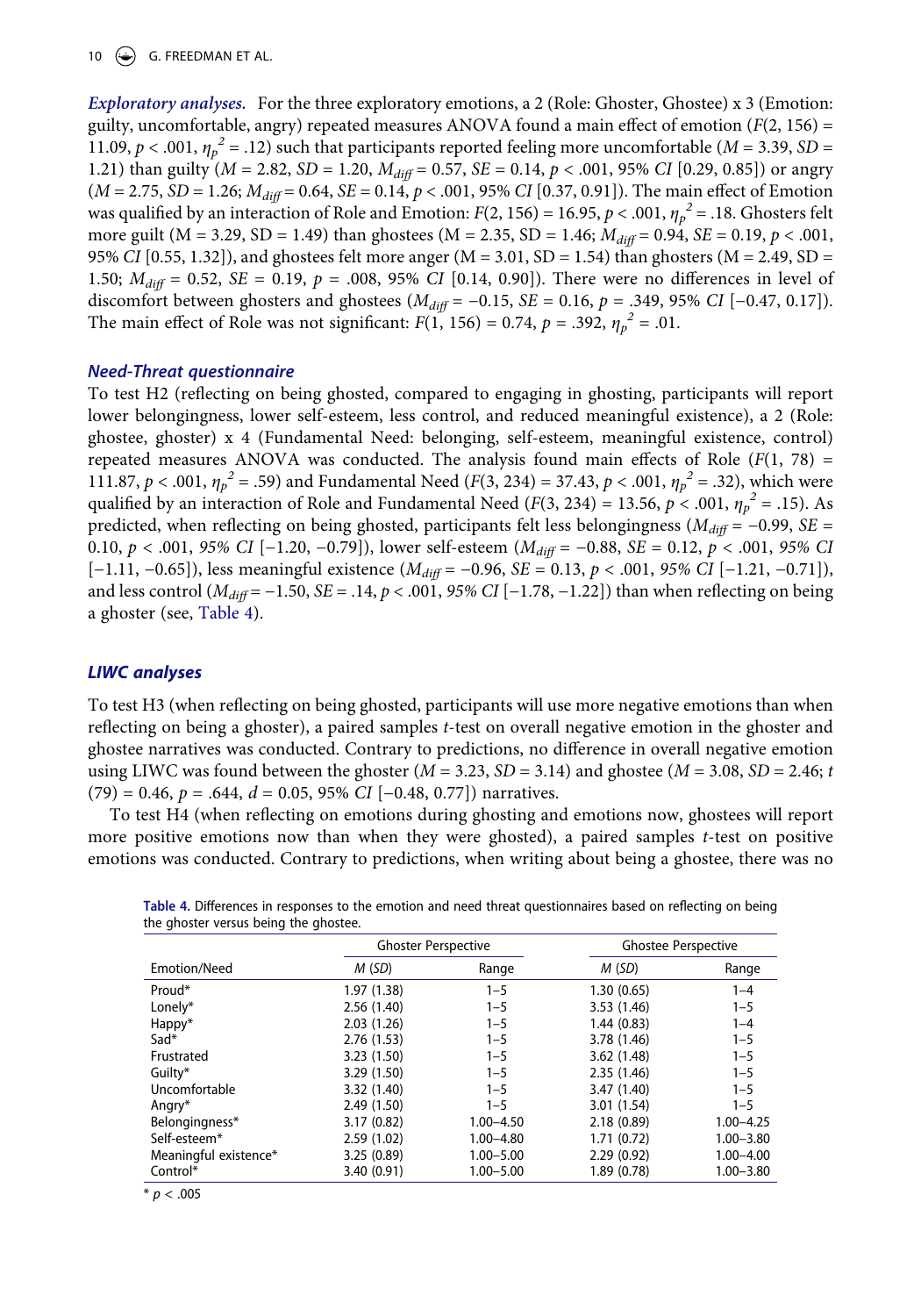10  $\left(\frac{1}{2}\right)$  G. FREEDMAN ET AL.

*Exploratory analyses.* For the three exploratory emotions, a 2 (Role: Ghoster, Ghostee) x 3 (Emotion: guilty, uncomfortable, angry) repeated measures ANOVA found a main effect of emotion (*F*(2, 156) = 11.09,  $p < .001$ ,  $\eta_p^2 = .12$ ) such that participants reported feeling more uncomfortable (*M* = 3.39, *SD* = 1.21) than guilty (*M* = 2.82, *SD* = 1.20, *Mdiff* = 0.57, *SE* = 0.14, *p* < .001, 95% *CI* [0.29, 0.85]) or angry (*M* = 2.75, *SD* = 1.26; *Mdiff* = 0.64, *SE* = 0.14, *p* < .001, 95% *CI* [0.37, 0.91]). The main effect of Emotion was qualified by an interaction of Role and Emotion:  $F(2, 156) = 16.95$ ,  $p < .001$ ,  $\eta_p^2 = .18$ . Ghosters felt more guilt (M = 3.29, SD = 1.49) than ghostees (M = 2.35, SD = 1.46;  $M_{diff}$  = 0.94, SE = 0.19,  $p < .001$ , 95% *CI* [0.55, 1.32]), and ghostees felt more anger (M = 3.01, SD = 1.54) than ghosters (M = 2.49, SD = 1.50; *Mdiff* = 0.52, *SE* = 0.19, *p* = .008, 95% *CI* [0.14, 0.90]). There were no differences in level of discomfort between ghosters and ghostees (*Mdiff* = −0.15, *SE* = 0.16, *p* = .349, 95% *CI* [−0.47, 0.17]). The main effect of Role was not significant:  $F(1, 156) = 0.74$ ,  $p = .392$ ,  $\eta_p^2 = .01$ .

# *Need-Threat questionnaire*

To test H2 (reflecting on being ghosted, compared to engaging in ghosting, participants will report lower belongingness, lower self-esteem, less control, and reduced meaningful existence), a 2 (Role: ghostee, ghoster) x 4 (Fundamental Need: belonging, self-esteem, meaningful existence, control) repeated measures ANOVA was conducted. The analysis found main effects of Role  $(F(1, 78))$ 111.87,  $p < .001$ ,  $\eta_p^2 = .59$ ) and Fundamental Need (*F*(3, 234) = 37.43,  $p < .001$ ,  $\eta_p^2 = .32$ ), which were qualified by an interaction of Role and Fundamental Need ( $F(3, 234) = 13.56$ ,  $p < .001$ ,  $\eta_p^2 = .15$ ). As predicted, when reflecting on being ghosted, participants felt less belongingness ( $M_{diff}$  = −0.99, *SE* = 0.10, *p* < .001, *95% CI* [−1.20, −0.79]), lower self-esteem (*Mdiff* = −0.88, *SE* = 0.12, *p* < .001, *95% CI*  [−1.11, −0.65]), less meaningful existence (*Mdiff* = −0.96, *SE* = 0.13, *p* < .001, *95% CI* [−1.21, −0.71]), and less control (*Mdiff* = −1.50, *SE* = .14, *p* < .001, *95% CI* [−1.78, −1.22]) than when reflecting on being a ghoster (see, [Table 4\)](#page-9-0).

# *LIWC analyses*

To test H3 (when reflecting on being ghosted, participants will use more negative emotions than when reflecting on being a ghoster), a paired samples *t*-test on overall negative emotion in the ghoster and ghostee narratives was conducted. Contrary to predictions, no difference in overall negative emotion using LIWC was found between the ghoster  $(M = 3.23, SD = 3.14)$  and ghostee  $(M = 3.08, SD = 2.46; t$ (79) = 0.46, *p* = .644, *d* = 0.05, 95% *CI* [−0.48, 0.77]) narratives.

To test H4 (when reflecting on emotions during ghosting and emotions now, ghostees will report more positive emotions now than when they were ghosted), a paired samples *t*-test on positive emotions was conducted. Contrary to predictions, when writing about being a ghostee, there was no

|                       | <b>Ghoster Perspective</b><br><b>Ghostee Perspective</b> |               |             |               |
|-----------------------|----------------------------------------------------------|---------------|-------------|---------------|
| Emotion/Need          | M (SD)                                                   | Range         | M(SD)       | Range         |
| Proud*                | 1.97(1.38)                                               | $1 - 5$       | 1.30(0.65)  | $1 - 4$       |
| Lonely*               | 2.56(1.40)                                               | $1 - 5$       | 3.53(1.46)  | $1 - 5$       |
| Happy*                | 2.03(1.26)                                               | $1 - 5$       | 1.44(0.83)  | $1 - 4$       |
| $Sad*$                | 2.76(1.53)                                               | $1 - 5$       | 3.78 (1.46) | $1 - 5$       |
| Frustrated            | 3.23(1.50)                                               | $1 - 5$       | 3.62(1.48)  | $1 - 5$       |
| Guilty*               | 3.29(1.50)                                               | $1 - 5$       | 2.35(1.46)  | $1 - 5$       |
| Uncomfortable         | 3.32 (1.40)                                              | $1 - 5$       | 3.47 (1.40) | $1 - 5$       |
| Angry*                | 2.49(1.50)                                               | $1 - 5$       | 3.01(1.54)  | $1 - 5$       |
| Belongingness*        | 3.17(0.82)                                               | $1.00 - 4.50$ | 2.18(0.89)  | $1.00 - 4.25$ |
| Self-esteem*          | 2.59(1.02)                                               | $1.00 - 4.80$ | 1.71(0.72)  | $1.00 - 3.80$ |
| Meaningful existence* | 3.25(0.89)                                               | $1.00 - 5.00$ | 2.29(0.92)  | $1.00 - 4.00$ |
| Control*              | 3.40(0.91)                                               | $1.00 - 5.00$ | 1.89 (0.78) | $1.00 - 3.80$ |

<span id="page-9-0"></span>**Table 4.** Differences in responses to the emotion and need threat questionnaires based on reflecting on being the ghoster versus being the ghostee.

 $* p < .005$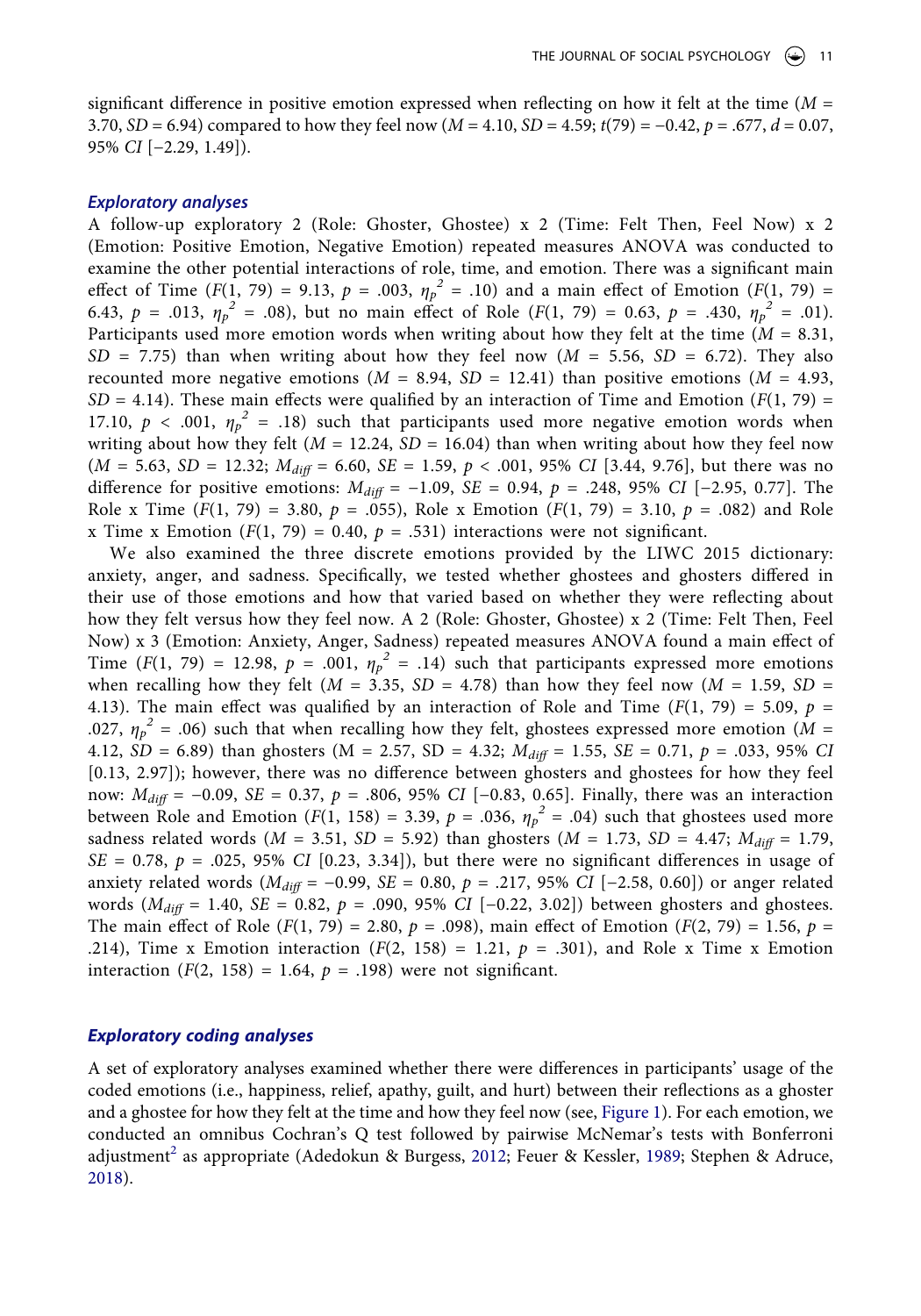significant difference in positive emotion expressed when reflecting on how it felt at the time (*M* = 3.70, *SD* = 6.94) compared to how they feel now (*M* = 4.10, *SD* = 4.59; *t*(79) = −0.42, *p* = .677, *d* = 0.07, 95% *CI* [−2.29, 1.49]).

#### *Exploratory analyses*

A follow-up exploratory 2 (Role: Ghoster, Ghostee) x 2 (Time: Felt Then, Feel Now) x 2 (Emotion: Positive Emotion, Negative Emotion) repeated measures ANOVA was conducted to examine the other potential interactions of role, time, and emotion. There was a significant main effect of Time  $(F(1, 79) = 9.13, p = .003, \eta_p^2 = .10)$  and a main effect of Emotion  $(F(1, 79) =$ 6.43,  $p = .013$ ,  $\eta_p^2 = .08$ ), but no main effect of Role (*F*(1, 79) = 0.63,  $p = .430$ ,  $\eta_p^2 = .01$ ). Participants used more emotion words when writing about how they felt at the time (*M* = 8.31,  $SD = 7.75$ ) than when writing about how they feel now ( $M = 5.56$ ,  $SD = 6.72$ ). They also recounted more negative emotions  $(M = 8.94, SD = 12.41)$  than positive emotions  $(M = 4.93,$  $SD = 4.14$ ). These main effects were qualified by an interaction of Time and Emotion ( $F(1, 79)$ ) 17.10,  $p < .001$ ,  $\eta_p^2 = .18$ ) such that participants used more negative emotion words when writing about how they felt ( $M = 12.24$ ,  $SD = 16.04$ ) than when writing about how they feel now (*M* = 5.63, *SD* = 12.32; *Mdiff* = 6.60, *SE* = 1.59, *p* < .001, 95% *CI* [3.44, 9.76], but there was no difference for positive emotions: *Mdiff* = −1.09, *SE* = 0.94, *p* = .248, 95% *CI* [−2.95, 0.77]. The Role x Time  $(F(1, 79) = 3.80, p = .055)$ , Role x Emotion  $(F(1, 79) = 3.10, p = .082)$  and Role x Time x Emotion  $(F(1, 79) = 0.40, p = .531)$  interactions were not significant.

We also examined the three discrete emotions provided by the LIWC 2015 dictionary: anxiety, anger, and sadness. Specifically, we tested whether ghostees and ghosters differed in their use of those emotions and how that varied based on whether they were reflecting about how they felt versus how they feel now. A 2 (Role: Ghoster, Ghostee) x 2 (Time: Felt Then, Feel Now) x 3 (Emotion: Anxiety, Anger, Sadness) repeated measures ANOVA found a main effect of Time ( $F(1, 79) = 12.98$ ,  $p = .001$ ,  $\eta_p^2 = .14$ ) such that participants expressed more emotions when recalling how they felt ( $M = 3.35$ ,  $SD = 4.78$ ) than how they feel now ( $M = 1.59$ ,  $SD = 1.59$ 4.13). The main effect was qualified by an interaction of Role and Time  $(F(1, 79) = 5.09, p =$ .027,  $\eta_p^2$  = .06) such that when recalling how they felt, ghostees expressed more emotion ( $\tilde{M}$  = 4.12, *SD* = 6.89) than ghosters (M = 2.57, *SD* = 4.32;  $M_{diff}$  = 1.55, *SE* = 0.71, *p* = .033, 95% *CI* [0.13, 2.97]); however, there was no difference between ghosters and ghostees for how they feel now: *Mdiff* = −0.09, *SE* = 0.37, *p* = .806, 95% *CI* [−0.83, 0.65]. Finally, there was an interaction between Role and Emotion ( $F(1, 158) = 3.39$ ,  $p = .036$ ,  $\eta_p^2 = .04$ ) such that ghostees used more sadness related words ( $M = 3.51$ ,  $SD = 5.92$ ) than ghosters ( $M = 1.73$ ,  $SD = 4.47$ ;  $M_{diff} = 1.79$ ,  $SE = 0.78$ ,  $p = .025$ , 95% *CI* [0.23, 3.34]), but there were no significant differences in usage of anxiety related words (*Mdiff* = −0.99, *SE* = 0.80, *p* = .217, 95% *CI* [−2.58, 0.60]) or anger related words (*Mdiff* = 1.40, *SE* = 0.82, *p* = .090, 95% *CI* [−0.22, 3.02]) between ghosters and ghostees. The main effect of Role  $(F(1, 79) = 2.80, p = .098)$ , main effect of Emotion  $(F(2, 79) = 1.56, p = .098)$ .214), Time x Emotion interaction  $(F(2, 158) = 1.21, p = .301)$ , and Role x Time x Emotion interaction  $(F(2, 158) = 1.64, p = .198)$  were not significant.

# *Exploratory coding analyses*

<span id="page-10-0"></span>A set of exploratory analyses examined whether there were differences in participants' usage of the coded emotions (i.e., happiness, relief, apathy, guilt, and hurt) between their reflections as a ghoster and a ghostee for how they felt at the time and how they feel now (see, [Figure 1](#page-11-0)). For each emotion, we conducted an omnibus Cochran's Q test followed by pairwise McNemar's tests with Bonferroni adjustment<sup>2</sup> as appropriate (Adedokun & Burgess, [2012](#page-16-15); Feuer & Kessler, [1989;](#page-17-21) Stephen & Adruce, [2018](#page-19-15)).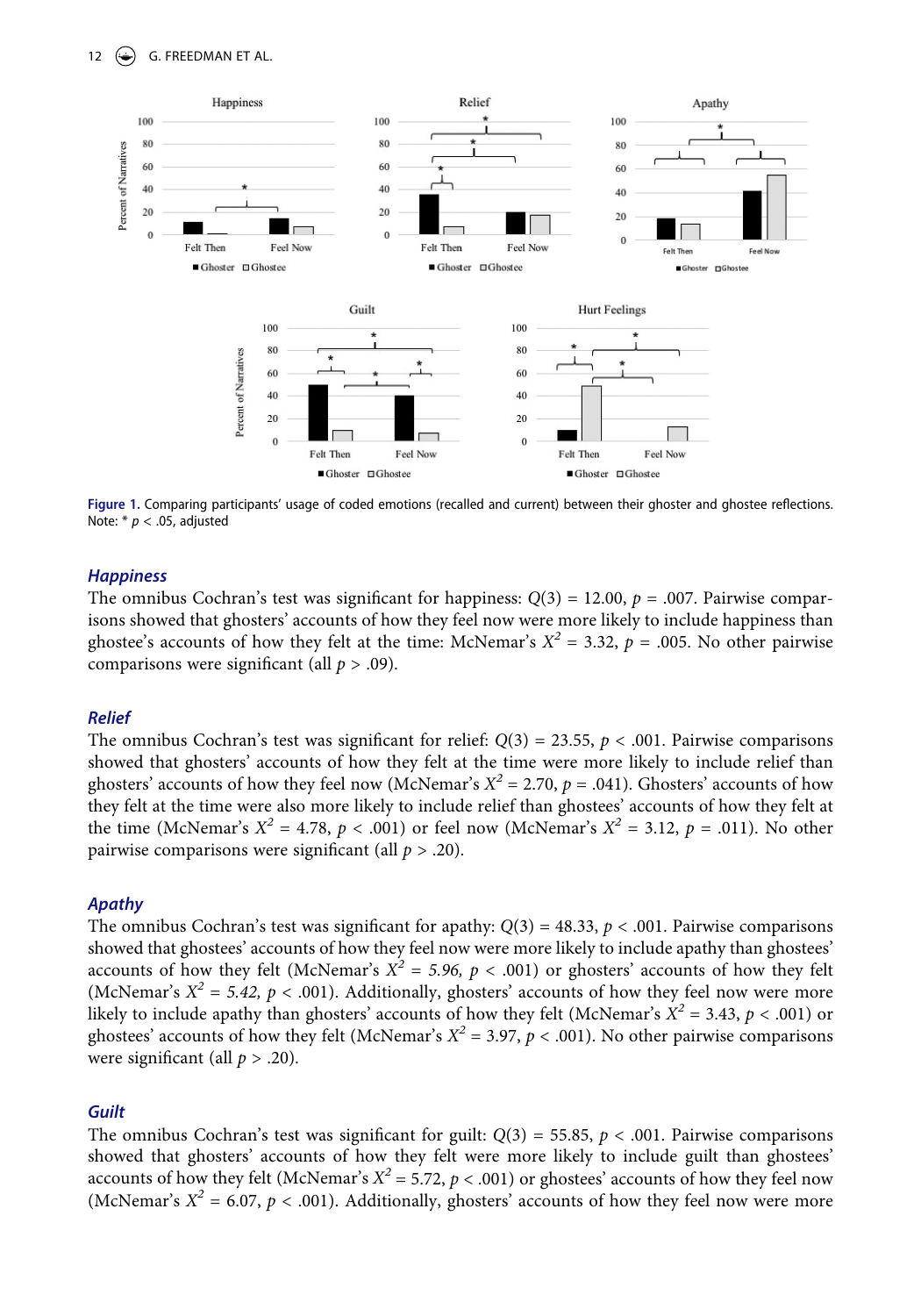# 12  $\left(\bigstar\right)$  G. FREEDMAN ET AL.

<span id="page-11-0"></span>

**Figure 1.** Comparing participants' usage of coded emotions (recalled and current) between their ghoster and ghostee reflections. Note: \* *p* < .05, adjusted

# *Happiness*

The omnibus Cochran's test was significant for happiness:  $Q(3) = 12.00$ ,  $p = .007$ . Pairwise comparisons showed that ghosters' accounts of how they feel now were more likely to include happiness than ghostee's accounts of how they felt at the time: McNemar's  $X^2 = 3.32$ ,  $p = .005$ . No other pairwise comparisons were significant (all *p* > .09).

# *Relief*

The omnibus Cochran's test was significant for relief:  $Q(3) = 23.55$ ,  $p < .001$ . Pairwise comparisons showed that ghosters' accounts of how they felt at the time were more likely to include relief than ghosters' accounts of how they feel now (McNemar's  $X^2 = 2.70$ ,  $p = .041$ ). Ghosters' accounts of how they felt at the time were also more likely to include relief than ghostees' accounts of how they felt at the time (McNemar's  $X^2 = 4.78$ ,  $p < .001$ ) or feel now (McNemar's  $X^2 = 3.12$ ,  $p = .011$ ). No other pairwise comparisons were significant (all *p* > .20).

# *Apathy*

The omnibus Cochran's test was significant for apathy:  $Q(3) = 48.33$ ,  $p < .001$ . Pairwise comparisons showed that ghostees' accounts of how they feel now were more likely to include apathy than ghostees' accounts of how they felt (McNemar's  $X^2 = 5.96$ ,  $p < .001$ ) or ghosters' accounts of how they felt (McNemar's  $X^2 = 5.42$ ,  $p < .001$ ). Additionally, ghosters' accounts of how they feel now were more likely to include apathy than ghosters' accounts of how they felt (McNemar's  $X^2 = 3.43$ ,  $p < .001$ ) or ghostees' accounts of how they felt (McNemar's  $X^2 = 3.97$ ,  $p < .001$ ). No other pairwise comparisons were significant (all *p* > .20).

#### *Guilt*

The omnibus Cochran's test was significant for guilt:  $Q(3) = 55.85$ ,  $p < .001$ . Pairwise comparisons showed that ghosters' accounts of how they felt were more likely to include guilt than ghostees' accounts of how they felt (McNemar's *Χ2* = 5.72, *p* < .001) or ghostees' accounts of how they feel now (McNemar's  $X^2 = 6.07$ ,  $p < .001$ ). Additionally, ghosters' accounts of how they feel now were more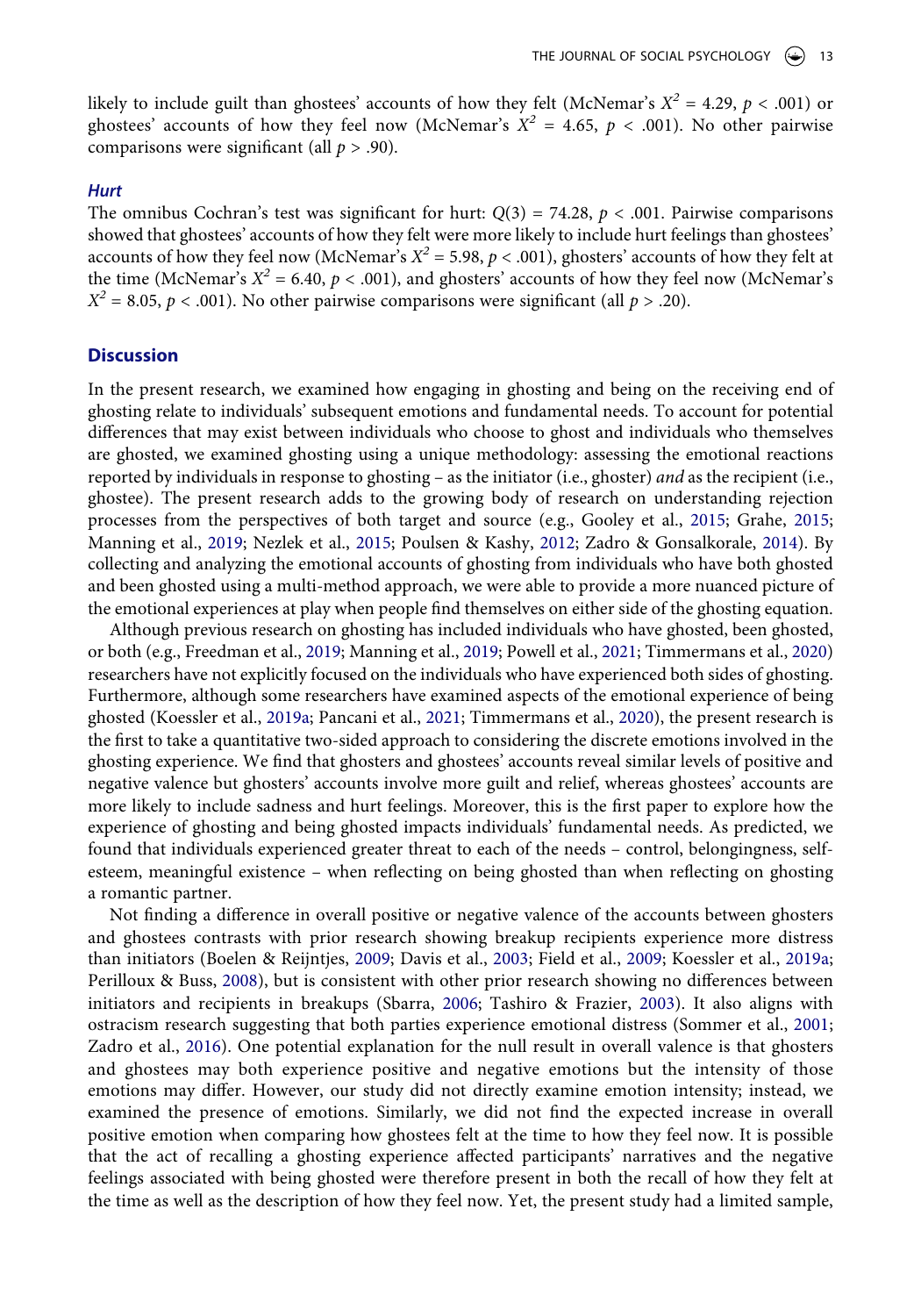likely to include guilt than ghostees' accounts of how they felt (McNemar's  $X^2 = 4.29$ ,  $p < .001$ ) or ghostees' accounts of how they feel now (McNemar's  $X^2 = 4.65$ ,  $p < .001$ ). No other pairwise comparisons were significant (all *p* > .90).

### *Hurt*

The omnibus Cochran's test was significant for hurt:  $Q(3) = 74.28$ ,  $p < .001$ . Pairwise comparisons showed that ghostees' accounts of how they felt were more likely to include hurt feelings than ghostees' accounts of how they feel now (McNemar's *Χ2* = 5.98, *p* < .001), ghosters' accounts of how they felt at the time (McNemar's  $X^2 = 6.40$ ,  $p < .001$ ), and ghosters' accounts of how they feel now (McNemar's  $X^2 = 8.05$ ,  $p < .001$ ). No other pairwise comparisons were significant (all  $p > .20$ ).

#### **Discussion**

In the present research, we examined how engaging in ghosting and being on the receiving end of ghosting relate to individuals' subsequent emotions and fundamental needs. To account for potential differences that may exist between individuals who choose to ghost and individuals who themselves are ghosted, we examined ghosting using a unique methodology: assessing the emotional reactions reported by individuals in response to ghosting – as the initiator (i.e., ghoster) *and* as the recipient (i.e., ghostee). The present research adds to the growing body of research on understanding rejection processes from the perspectives of both target and source (e.g., Gooley et al., [2015;](#page-17-19) Grahe, [2015;](#page-17-22) Manning et al., [2019;](#page-18-1) Nezlek et al., [2015;](#page-18-14) Poulsen & Kashy, [2012;](#page-18-19) Zadro & Gonsalkorale, [2014](#page-19-10)). By collecting and analyzing the emotional accounts of ghosting from individuals who have both ghosted and been ghosted using a multi-method approach, we were able to provide a more nuanced picture of the emotional experiences at play when people find themselves on either side of the ghosting equation.

<span id="page-12-1"></span><span id="page-12-0"></span>Although previous research on ghosting has included individuals who have ghosted, been ghosted, or both (e.g., Freedman et al., [2019;](#page-17-0) Manning et al., [2019;](#page-18-1) Powell et al., [2021;](#page-18-0) Timmermans et al., [2020\)](#page-19-5) researchers have not explicitly focused on the individuals who have experienced both sides of ghosting. Furthermore, although some researchers have examined aspects of the emotional experience of being ghosted (Koessler et al., [2019a](#page-17-5); Pancani et al., [2021](#page-18-5); Timmermans et al., [2020\)](#page-19-5), the present research is the first to take a quantitative two-sided approach to considering the discrete emotions involved in the ghosting experience. We find that ghosters and ghostees' accounts reveal similar levels of positive and negative valence but ghosters' accounts involve more guilt and relief, whereas ghostees' accounts are more likely to include sadness and hurt feelings. Moreover, this is the first paper to explore how the experience of ghosting and being ghosted impacts individuals' fundamental needs. As predicted, we found that individuals experienced greater threat to each of the needs – control, belongingness, selfesteem, meaningful existence – when reflecting on being ghosted than when reflecting on ghosting a romantic partner.

Not finding a difference in overall positive or negative valence of the accounts between ghosters and ghostees contrasts with prior research showing breakup recipients experience more distress than initiators (Boelen & Reijntjes, [2009;](#page-16-8) Davis et al., [2003](#page-16-9); Field et al., [2009](#page-17-12); Koessler et al., [2019a;](#page-17-5) Perilloux & Buss, [2008](#page-18-8)), but is consistent with other prior research showing no differences between initiators and recipients in breakups (Sbarra, [2006;](#page-18-6) Tashiro & Frazier, [2003](#page-19-6)). It also aligns with ostracism research suggesting that both parties experience emotional distress (Sommer et al., [2001;](#page-18-12) Zadro et al., [2016\)](#page-19-9). One potential explanation for the null result in overall valence is that ghosters and ghostees may both experience positive and negative emotions but the intensity of those emotions may differ. However, our study did not directly examine emotion intensity; instead, we examined the presence of emotions. Similarly, we did not find the expected increase in overall positive emotion when comparing how ghostees felt at the time to how they feel now. It is possible that the act of recalling a ghosting experience affected participants' narratives and the negative feelings associated with being ghosted were therefore present in both the recall of how they felt at the time as well as the description of how they feel now. Yet, the present study had a limited sample,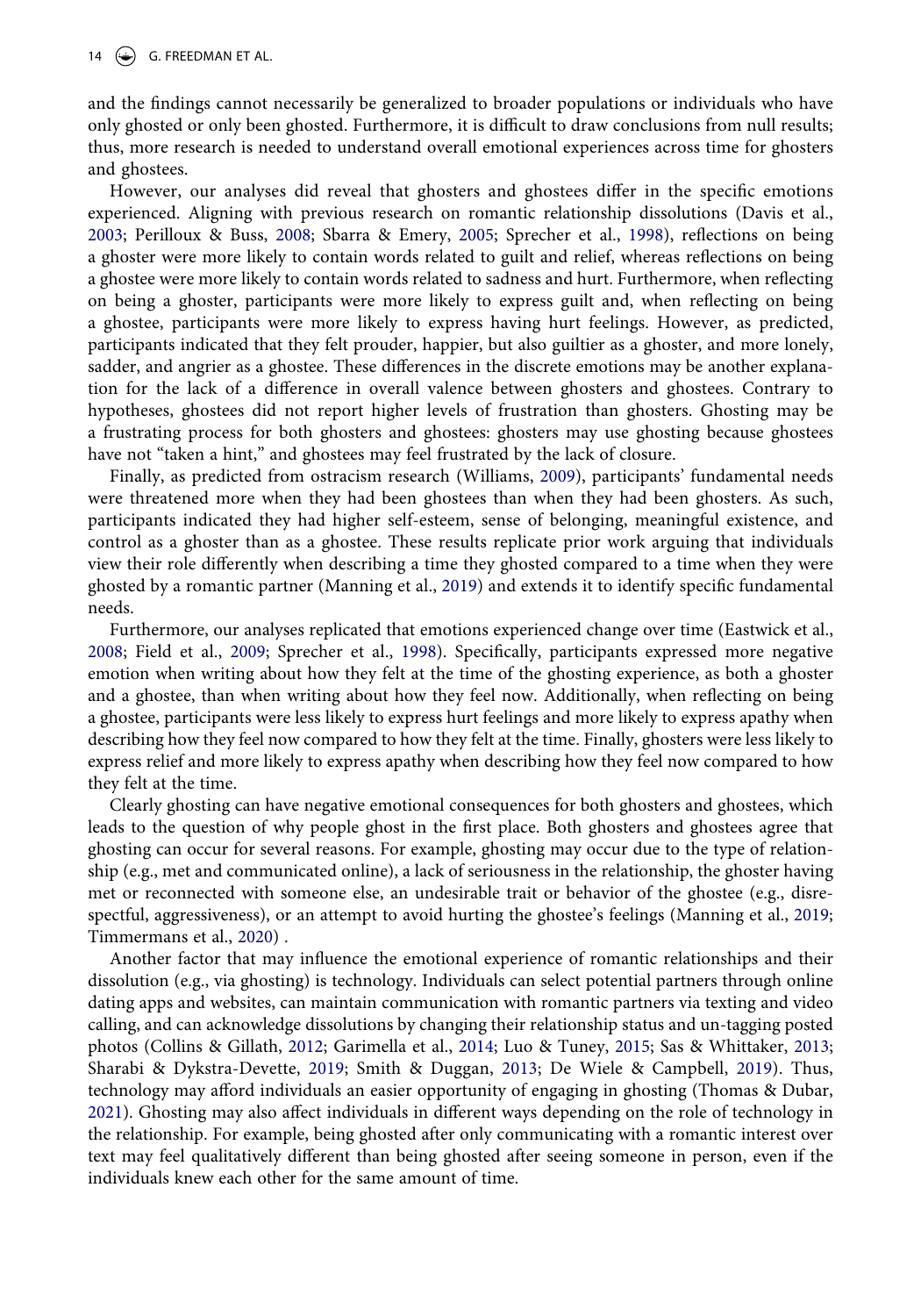and the findings cannot necessarily be generalized to broader populations or individuals who have only ghosted or only been ghosted. Furthermore, it is difficult to draw conclusions from null results; thus, more research is needed to understand overall emotional experiences across time for ghosters and ghostees.

However, our analyses did reveal that ghosters and ghostees differ in the specific emotions experienced. Aligning with previous research on romantic relationship dissolutions (Davis et al., [2003](#page-16-9); Perilloux & Buss, [2008](#page-18-8); Sbarra & Emery, [2005](#page-18-7); Sprecher et al., [1998](#page-19-1)), reflections on being a ghoster were more likely to contain words related to guilt and relief, whereas reflections on being a ghostee were more likely to contain words related to sadness and hurt. Furthermore, when reflecting on being a ghoster, participants were more likely to express guilt and, when reflecting on being a ghostee, participants were more likely to express having hurt feelings. However, as predicted, participants indicated that they felt prouder, happier, but also guiltier as a ghoster, and more lonely, sadder, and angrier as a ghostee. These differences in the discrete emotions may be another explanation for the lack of a difference in overall valence between ghosters and ghostees. Contrary to hypotheses, ghostees did not report higher levels of frustration than ghosters. Ghosting may be a frustrating process for both ghosters and ghostees: ghosters may use ghosting because ghostees have not "taken a hint," and ghostees may feel frustrated by the lack of closure.

Finally, as predicted from ostracism research (Williams, [2009\)](#page-19-8), participants' fundamental needs were threatened more when they had been ghostees than when they had been ghosters. As such, participants indicated they had higher self-esteem, sense of belonging, meaningful existence, and control as a ghoster than as a ghostee. These results replicate prior work arguing that individuals view their role differently when describing a time they ghosted compared to a time when they were ghosted by a romantic partner (Manning et al., [2019](#page-18-1)) and extends it to identify specific fundamental needs.

Furthermore, our analyses replicated that emotions experienced change over time (Eastwick et al., [2008](#page-16-0); Field et al., [2009](#page-17-12); Sprecher et al., [1998\)](#page-19-1). Specifically, participants expressed more negative emotion when writing about how they felt at the time of the ghosting experience, as both a ghoster and a ghostee, than when writing about how they feel now. Additionally, when reflecting on being a ghostee, participants were less likely to express hurt feelings and more likely to express apathy when describing how they feel now compared to how they felt at the time. Finally, ghosters were less likely to express relief and more likely to express apathy when describing how they feel now compared to how they felt at the time.

Clearly ghosting can have negative emotional consequences for both ghosters and ghostees, which leads to the question of why people ghost in the first place. Both ghosters and ghostees agree that ghosting can occur for several reasons. For example, ghosting may occur due to the type of relationship (e.g., met and communicated online), a lack of seriousness in the relationship, the ghoster having met or reconnected with someone else, an undesirable trait or behavior of the ghostee (e.g., disrespectful, aggressiveness), or an attempt to avoid hurting the ghostee's feelings (Manning et al., [2019;](#page-18-1) Timmermans et al., [2020](#page-19-5)) .

<span id="page-13-2"></span><span id="page-13-1"></span><span id="page-13-0"></span>Another factor that may influence the emotional experience of romantic relationships and their dissolution (e.g., via ghosting) is technology. Individuals can select potential partners through online dating apps and websites, can maintain communication with romantic partners via texting and video calling, and can acknowledge dissolutions by changing their relationship status and un-tagging posted photos (Collins & Gillath, [2012;](#page-16-2) Garimella et al., [2014](#page-17-23); Luo & Tuney, [2015;](#page-18-20) Sas & Whittaker, [2013;](#page-18-21) Sharabi & Dykstra-Devette, [2019](#page-18-22); Smith & Duggan, [2013](#page-18-23); De Wiele & Campbell, [2019\)](#page-16-4). Thus, technology may afford individuals an easier opportunity of engaging in ghosting (Thomas & Dubar, [2021](#page-19-16)). Ghosting may also affect individuals in different ways depending on the role of technology in the relationship. For example, being ghosted after only communicating with a romantic interest over text may feel qualitatively different than being ghosted after seeing someone in person, even if the individuals knew each other for the same amount of time.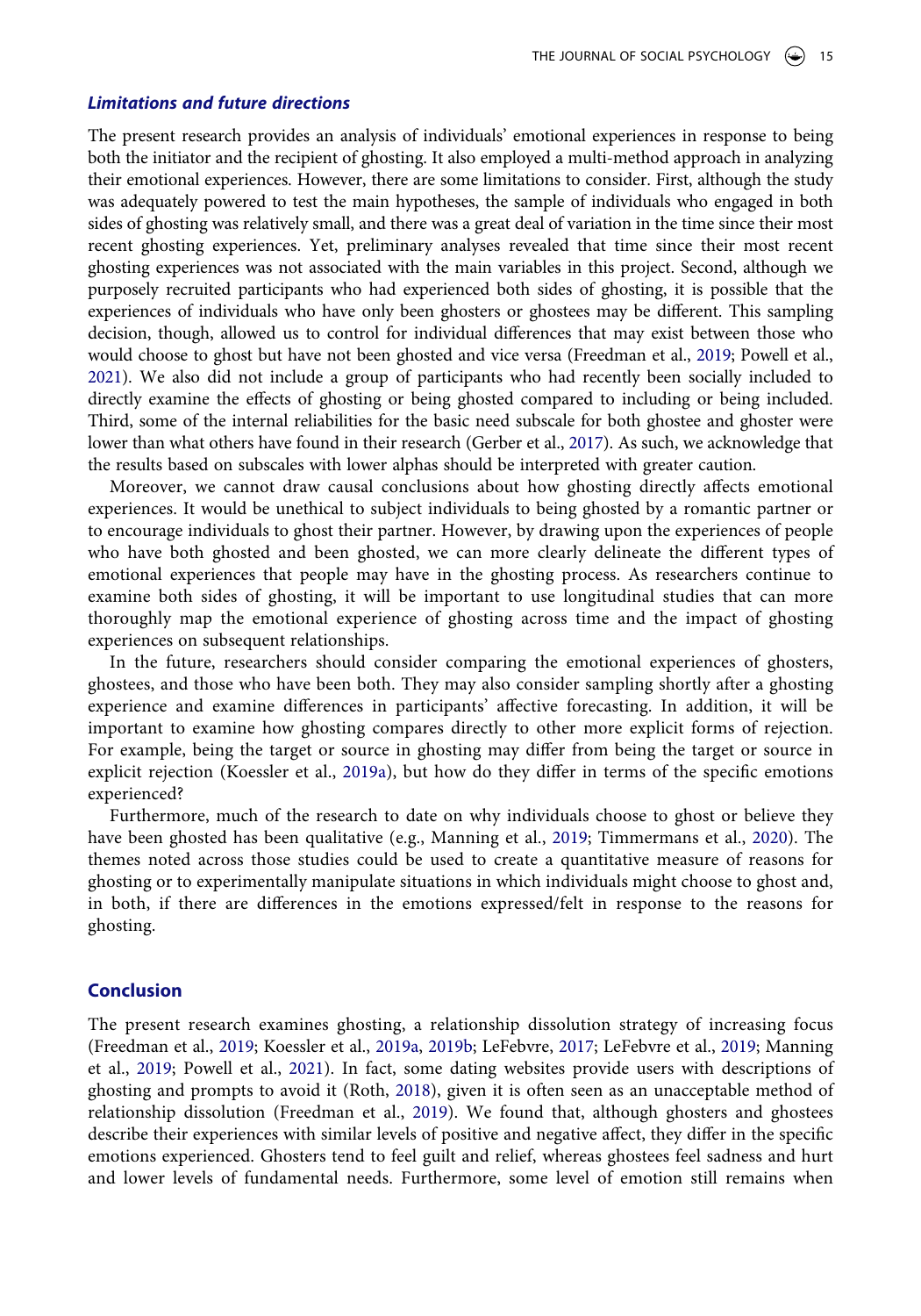#### *Limitations and future directions*

The present research provides an analysis of individuals' emotional experiences in response to being both the initiator and the recipient of ghosting. It also employed a multi-method approach in analyzing their emotional experiences. However, there are some limitations to consider. First, although the study was adequately powered to test the main hypotheses, the sample of individuals who engaged in both sides of ghosting was relatively small, and there was a great deal of variation in the time since their most recent ghosting experiences. Yet, preliminary analyses revealed that time since their most recent ghosting experiences was not associated with the main variables in this project. Second, although we purposely recruited participants who had experienced both sides of ghosting, it is possible that the experiences of individuals who have only been ghosters or ghostees may be different. This sampling decision, though, allowed us to control for individual differences that may exist between those who would choose to ghost but have not been ghosted and vice versa (Freedman et al., [2019](#page-17-0); Powell et al., [2021\)](#page-18-0). We also did not include a group of participants who had recently been socially included to directly examine the effects of ghosting or being ghosted compared to including or being included. Third, some of the internal reliabilities for the basic need subscale for both ghostee and ghoster were lower than what others have found in their research (Gerber et al., [2017](#page-17-24)). As such, we acknowledge that the results based on subscales with lower alphas should be interpreted with greater caution.

<span id="page-14-0"></span>Moreover, we cannot draw causal conclusions about how ghosting directly affects emotional experiences. It would be unethical to subject individuals to being ghosted by a romantic partner or to encourage individuals to ghost their partner. However, by drawing upon the experiences of people who have both ghosted and been ghosted, we can more clearly delineate the different types of emotional experiences that people may have in the ghosting process. As researchers continue to examine both sides of ghosting, it will be important to use longitudinal studies that can more thoroughly map the emotional experience of ghosting across time and the impact of ghosting experiences on subsequent relationships.

In the future, researchers should consider comparing the emotional experiences of ghosters, ghostees, and those who have been both. They may also consider sampling shortly after a ghosting experience and examine differences in participants' affective forecasting. In addition, it will be important to examine how ghosting compares directly to other more explicit forms of rejection. For example, being the target or source in ghosting may differ from being the target or source in explicit rejection (Koessler et al., [2019a](#page-17-5)), but how do they differ in terms of the specific emotions experienced?

Furthermore, much of the research to date on why individuals choose to ghost or believe they have been ghosted has been qualitative (e.g., Manning et al., [2019;](#page-18-1) Timmermans et al., [2020](#page-19-5)). The themes noted across those studies could be used to create a quantitative measure of reasons for ghosting or to experimentally manipulate situations in which individuals might choose to ghost and, in both, if there are differences in the emotions expressed/felt in response to the reasons for ghosting.

# **Conclusion**

The present research examines ghosting, a relationship dissolution strategy of increasing focus (Freedman et al., [2019;](#page-17-0) Koessler et al., [2019a](#page-17-5), [2019b;](#page-17-1) LeFebvre, [2017](#page-17-2); LeFebvre et al., [2019;](#page-17-3) Manning et al., [2019](#page-18-1); Powell et al., [2021](#page-18-0)). In fact, some dating websites provide users with descriptions of ghosting and prompts to avoid it (Roth, [2018\)](#page-18-3), given it is often seen as an unacceptable method of relationship dissolution (Freedman et al., [2019\)](#page-17-0). We found that, although ghosters and ghostees describe their experiences with similar levels of positive and negative affect, they differ in the specific emotions experienced. Ghosters tend to feel guilt and relief, whereas ghostees feel sadness and hurt and lower levels of fundamental needs. Furthermore, some level of emotion still remains when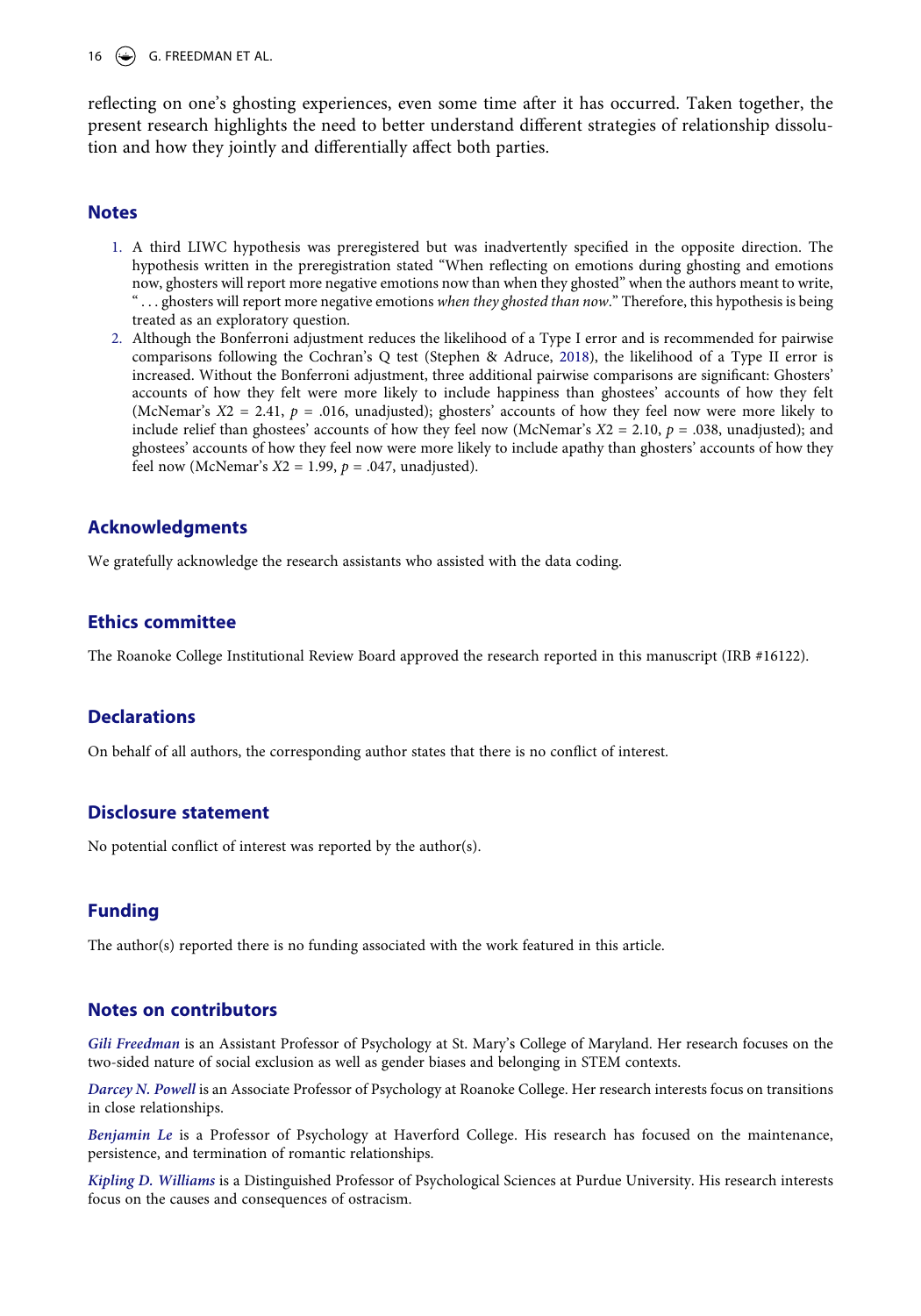16  $\leftrightarrow$  G. FREEDMAN ET AL.

reflecting on one's ghosting experiences, even some time after it has occurred. Taken together, the present research highlights the need to better understand different strategies of relationship dissolution and how they jointly and differentially affect both parties.

### **Notes**

- <span id="page-15-0"></span>1. A third LIWC hypothesis was preregistered but was inadvertently specified in the opposite direction. The hypothesis written in the preregistration stated "When reflecting on emotions during ghosting and emotions now, ghosters will report more negative emotions now than when they ghosted" when the authors meant to write, " . . . ghosters will report more negative emotions *when they ghosted than now*." Therefore, this hypothesis is being treated as an exploratory question.
- <span id="page-15-1"></span>2. Although the Bonferroni adjustment reduces the likelihood of a Type I error and is recommended for pairwise comparisons following the Cochran's Q test (Stephen & Adruce, [2018](#page-19-15)), the likelihood of a Type II error is increased. Without the Bonferroni adjustment, three additional pairwise comparisons are significant: Ghosters' accounts of how they felt were more likely to include happiness than ghostees' accounts of how they felt (McNemar's *Χ*2 = 2.41, *p* = .016, unadjusted); ghosters' accounts of how they feel now were more likely to include relief than ghostees' accounts of how they feel now (McNemar's *Χ*2 = 2.10, *p* = .038, unadjusted); and ghostees' accounts of how they feel now were more likely to include apathy than ghosters' accounts of how they feel now (McNemar's *Χ*2 = 1.99, *p* = .047, unadjusted).

# **Acknowledgments**

We gratefully acknowledge the research assistants who assisted with the data coding.

# **Ethics committee**

The Roanoke College Institutional Review Board approved the research reported in this manuscript (IRB #16122).

# **Declarations**

On behalf of all authors, the corresponding author states that there is no conflict of interest.

# **Disclosure statement**

No potential conflict of interest was reported by the author(s).

# **Funding**

The author(s) reported there is no funding associated with the work featured in this article.

### **Notes on contributors**

*Gili Freedman* is an Assistant Professor of Psychology at St. Mary's College of Maryland. Her research focuses on the two-sided nature of social exclusion as well as gender biases and belonging in STEM contexts.

*Darcey N. Powell* is an Associate Professor of Psychology at Roanoke College. Her research interests focus on transitions in close relationships.

*Benjamin Le* is a Professor of Psychology at Haverford College. His research has focused on the maintenance, persistence, and termination of romantic relationships.

*Kipling D. Williams* is a Distinguished Professor of Psychological Sciences at Purdue University. His research interests focus on the causes and consequences of ostracism.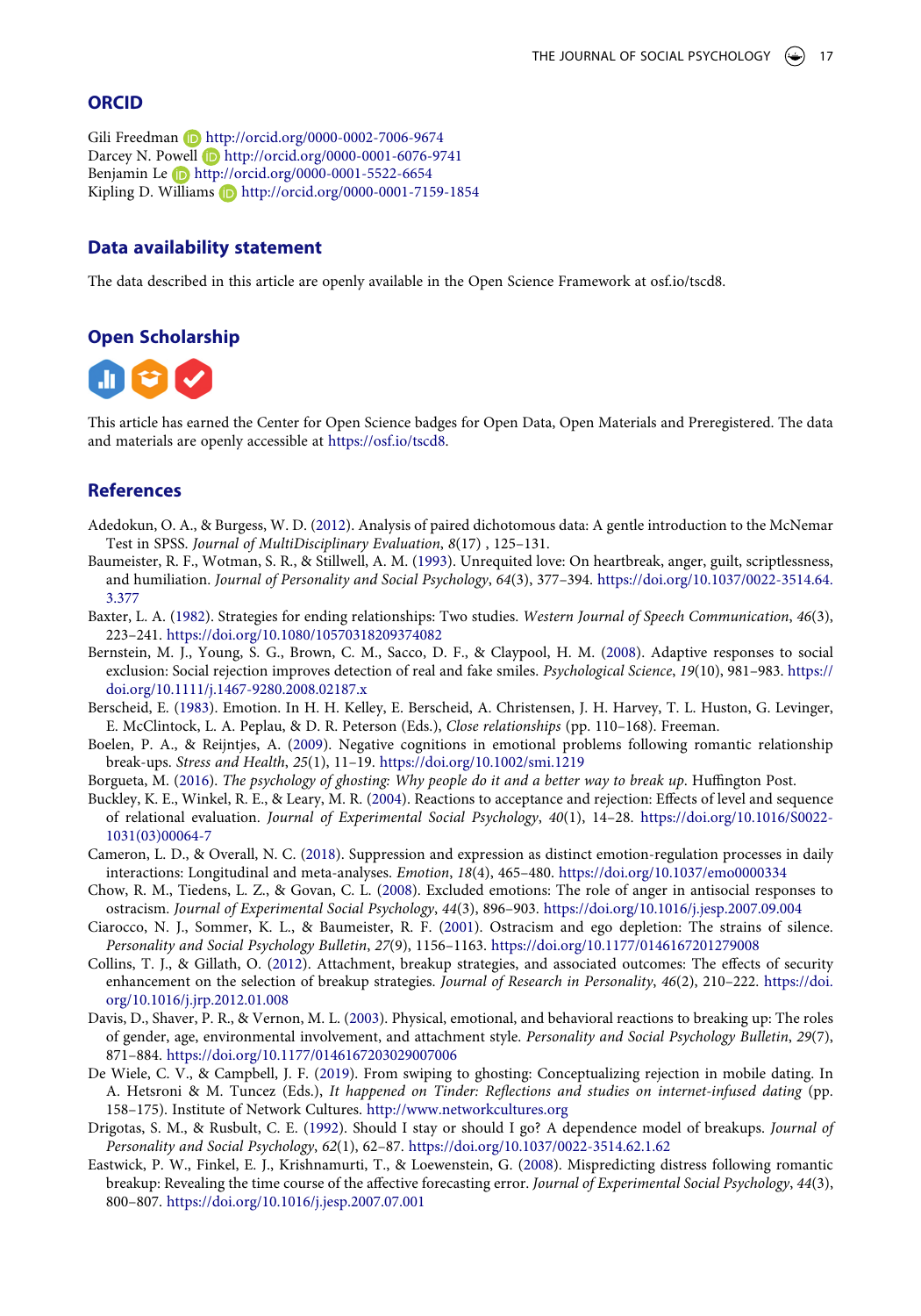# **ORCID**

```
Gili Freedman (D http://orcid.org/0000-0002-7006-9674
Darcey N. Powell b http://orcid.org/0000-0001-6076-9741
Benjamin Le D http://orcid.org/0000-0001-5522-6654
Kipling D. Williams \Box http://orcid.org/0000-0001-7159-1854
```
#### **Data availability statement**

The data described in this article are openly available in the Open Science Framework at osf.io/tscd8.

### **Open Scholarship**



This article has earned the Center for Open Science badges for Open Data, Open Materials and Preregistered. The data and materials are openly accessible at [https://osf.io/tscd8.](https://osf.io/tscd8)

# **References**

- <span id="page-16-15"></span>Adedokun, O. A., & Burgess, W. D. ([2012](#page-10-0)). Analysis of paired dichotomous data: A gentle introduction to the McNemar Test in SPSS. *Journal of MultiDisciplinary Evaluation*, *8*(17) , 125–131.
- <span id="page-16-14"></span>Baumeister, R. F., Wotman, S. R., & Stillwell, A. M. [\(1993\)](#page-7-1). Unrequited love: On heartbreak, anger, guilt, scriptlessness, and humiliation. *Journal of Personality and Social Psychology*, *64*(3), 377–394. [https://doi.org/10.1037/0022-3514.64.](https://doi.org/10.1037/0022-3514.64.3.377) [3.377](https://doi.org/10.1037/0022-3514.64.3.377)
- <span id="page-16-1"></span>Baxter, L. A. ([1982](#page-0-1)). Strategies for ending relationships: Two studies. *Western Journal of Speech Communication*, *46*(3), 223–241. <https://doi.org/10.1080/10570318209374082>
- <span id="page-16-13"></span>Bernstein, M. J., Young, S. G., Brown, C. M., Sacco, D. F., & Claypool, H. M. ([2008](#page-2-0)). Adaptive responses to social exclusion: Social rejection improves detection of real and fake smiles. *Psychological Science*, *19*(10), 981–983. [https://](https://doi.org/10.1111/j.1467-9280.2008.02187.x) [doi.org/10.1111/j.1467-9280.2008.02187.x](https://doi.org/10.1111/j.1467-9280.2008.02187.x)
- <span id="page-16-6"></span>Berscheid, E. [\(1983](#page-1-0)). Emotion. In H. H. Kelley, E. Berscheid, A. Christensen, J. H. Harvey, T. L. Huston, G. Levinger, E. McClintock, L. A. Peplau, & D. R. Peterson (Eds.), *Close relationships* (pp. 110–168). Freeman.
- <span id="page-16-8"></span>Boelen, P. A., & Reijntjes, A. [\(2009\)](#page-1-1). Negative cognitions in emotional problems following romantic relationship break-ups. *Stress and Health*, *25*(1), 11–19. <https://doi.org/10.1002/smi.1219>
- <span id="page-16-3"></span>Borgueta, M. [\(2016](#page-1-2)). *The psychology of ghosting: Why people do it and a better way to break up*. Huffington Post.
- <span id="page-16-10"></span>Buckley, K. E., Winkel, R. E., & Leary, M. R. [\(2004\)](#page-2-1). Reactions to acceptance and rejection: Effects of level and sequence of relational evaluation. *Journal of Experimental Social Psychology*, *40*(1), 14–28. [https://doi.org/10.1016/S0022-](https://doi.org/10.1016/S0022-1031(03)00064-7) [1031\(03\)00064-7](https://doi.org/10.1016/S0022-1031(03)00064-7)
- <span id="page-16-7"></span>Cameron, L. D., & Overall, N. C. [\(2018\)](#page-1-3). Suppression and expression as distinct emotion-regulation processes in daily interactions: Longitudinal and meta-analyses. *Emotion*, *18*(4), 465–480. <https://doi.org/10.1037/emo0000334>
- <span id="page-16-11"></span>Chow, R. M., Tiedens, L. Z., & Govan, C. L. [\(2008](#page-2-2)). Excluded emotions: The role of anger in antisocial responses to ostracism. *Journal of Experimental Social Psychology*, *44*(3), 896–903. <https://doi.org/10.1016/j.jesp.2007.09.004>
- <span id="page-16-12"></span>Ciarocco, N. J., Sommer, K. L., & Baumeister, R. F. [\(2001](#page-2-3)). Ostracism and ego depletion: The strains of silence. *Personality and Social Psychology Bulletin*, *27*(9), 1156–1163. <https://doi.org/10.1177/0146167201279008>
- <span id="page-16-2"></span>Collins, T. J., & Gillath, O. [\(2012](#page-0-2)). Attachment, breakup strategies, and associated outcomes: The effects of security enhancement on the selection of breakup strategies. *Journal of Research in Personality*, *46*(2), 210–222. [https://doi.](https://doi.org/10.1016/j.jrp.2012.01.008) [org/10.1016/j.jrp.2012.01.008](https://doi.org/10.1016/j.jrp.2012.01.008)
- <span id="page-16-9"></span>Davis, D., Shaver, P. R., & Vernon, M. L. [\(2003\)](#page-1-4). Physical, emotional, and behavioral reactions to breaking up: The roles of gender, age, environmental involvement, and attachment style. *Personality and Social Psychology Bulletin*, *29*(7), 871–884. <https://doi.org/10.1177/0146167203029007006>
- <span id="page-16-4"></span>De Wiele, C. V., & Campbell, J. F. ([2019](#page-1-5)). From swiping to ghosting: Conceptualizing rejection in mobile dating. In A. Hetsroni & M. Tuncez (Eds.), *It happened on Tinder: Reflections and studies on internet-infused dating* (pp. 158–175). Institute of Network Cultures. <http://www.networkcultures.org>
- <span id="page-16-5"></span>Drigotas, S. M., & Rusbult, C. E. ([1992](#page-1-6)). Should I stay or should I go? A dependence model of breakups. *Journal of Personality and Social Psychology*, *62*(1), 62–87. <https://doi.org/10.1037/0022-3514.62.1.62>
- <span id="page-16-0"></span>Eastwick, P. W., Finkel, E. J., Krishnamurti, T., & Loewenstein, G. [\(2008\)](#page-0-3). Mispredicting distress following romantic breakup: Revealing the time course of the affective forecasting error. *Journal of Experimental Social Psychology*, *44*(3), 800–807. <https://doi.org/10.1016/j.jesp.2007.07.001>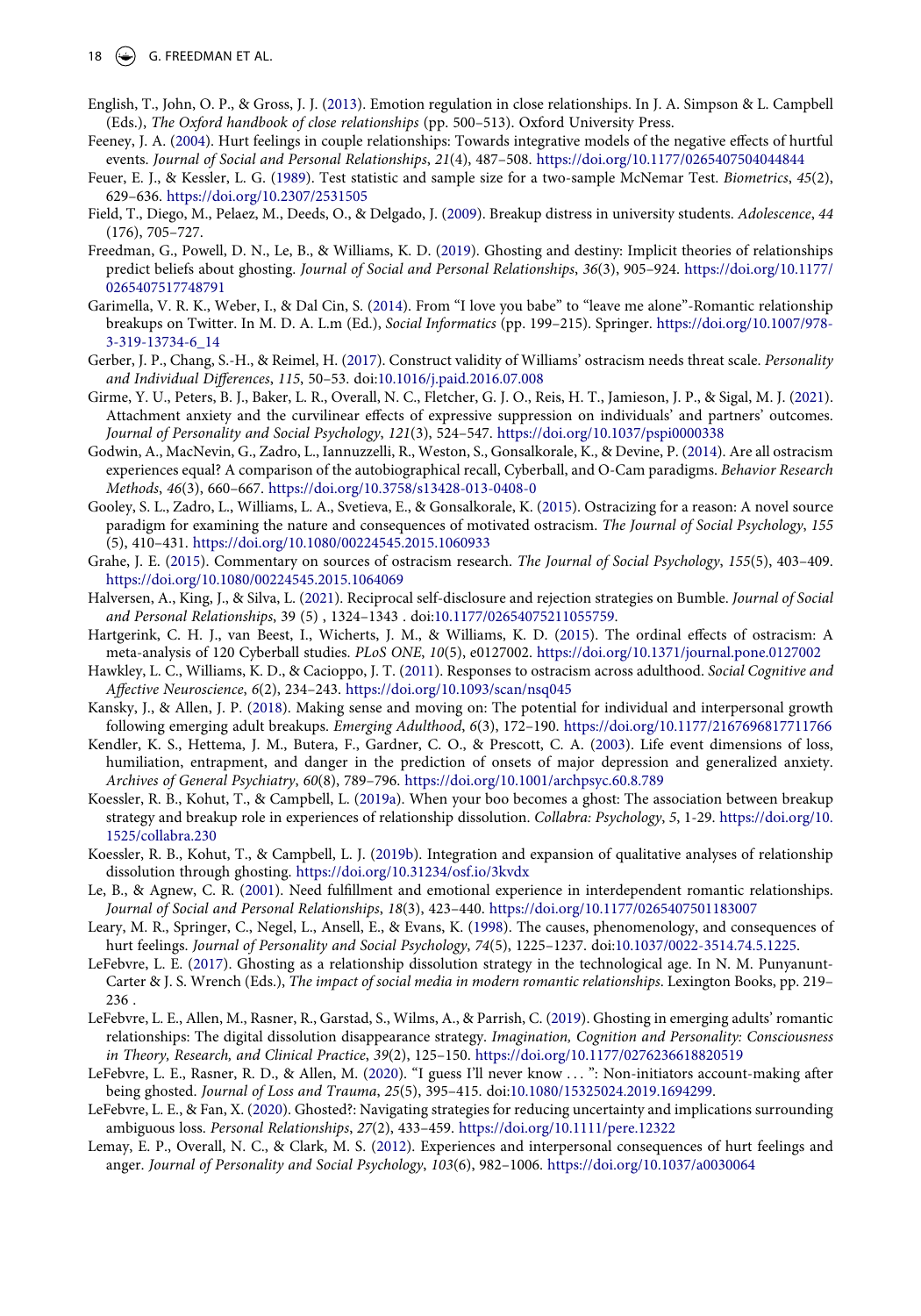18  $\left(\bigstar\right)$  G. FREEDMAN ET AL.

- <span id="page-17-8"></span>English, T., John, O. P., & Gross, J. J. [\(2013](#page-1-7)). Emotion regulation in close relationships. In J. A. Simpson & L. Campbell (Eds.), *The Oxford handbook of close relationships* (pp. 500–513). Oxford University Press.
- <span id="page-17-15"></span>Feeney, J. A. [\(2004](#page-2-4)). Hurt feelings in couple relationships: Towards integrative models of the negative effects of hurtful events. *Journal of Social and Personal Relationships*, *21*(4), 487–508. <https://doi.org/10.1177/0265407504044844>
- <span id="page-17-21"></span>Feuer, E. J., & Kessler, L. G. [\(1989](#page-10-0)). Test statistic and sample size for a two-sample McNemar Test. *Biometrics*, *45*(2), 629–636. <https://doi.org/10.2307/2531505>
- <span id="page-17-12"></span>Field, T., Diego, M., Pelaez, M., Deeds, O., & Delgado, J. ([2009\)](#page-1-1). Breakup distress in university students. *Adolescence*, *44*  (176), 705–727.
- <span id="page-17-0"></span>Freedman, G., Powell, D. N., Le, B., & Williams, K. D. [\(2019\)](#page-0-4). Ghosting and destiny: Implicit theories of relationships predict beliefs about ghosting. *Journal of Social and Personal Relationships*, *36*(3), 905–924. [https://doi.org/10.1177/](https://doi.org/10.1177/0265407517748791)  [0265407517748791](https://doi.org/10.1177/0265407517748791)
- <span id="page-17-23"></span>Garimella, V. R. K., Weber, I., & Dal Cin, S. [\(2014](#page-13-0)). From "I love you babe" to "leave me alone"-Romantic relationship breakups on Twitter. In M. D. A. L.m (Ed.), *Social Informatics* (pp. 199–215). Springer. [https://doi.org/10.1007/978-](https://doi.org/10.1007/978-3-319-13734-6_14)  [3-319-13734-6\\_14](https://doi.org/10.1007/978-3-319-13734-6_14)
- <span id="page-17-24"></span>Gerber, J. P., Chang, S.-H., & Reimel, H. ([2017](#page-14-0)). Construct validity of Williams' ostracism needs threat scale. *Personality and Individual Differences*, *115*, 50–53. doi:[10.1016/j.paid.2016.07.008](https://doi.org/10.1016/j.paid.2016.07.008)
- <span id="page-17-10"></span>Girme, Y. U., Peters, B. J., Baker, L. R., Overall, N. C., Fletcher, G. J. O., Reis, H. T., Jamieson, J. P., & Sigal, M. J. ([2021](#page-1-8)). Attachment anxiety and the curvilinear effects of expressive suppression on individuals' and partners' outcomes. *Journal of Personality and Social Psychology*, *121*(3), 524–547. <https://doi.org/10.1037/pspi0000338>
- <span id="page-17-20"></span>Godwin, A., MacNevin, G., Zadro, L., Iannuzzelli, R., Weston, S., Gonsalkorale, K., & Devine, P. [\(2014](#page-2-0)). Are all ostracism experiences equal? A comparison of the autobiographical recall, Cyberball, and O-Cam paradigms. *Behavior Research Methods*, *46*(3), 660–667. <https://doi.org/10.3758/s13428-013-0408-0>
- <span id="page-17-19"></span>Gooley, S. L., Zadro, L., Williams, L. A., Svetieva, E., & Gonsalkorale, K. ([2015\)](#page-2-5). Ostracizing for a reason: A novel source paradigm for examining the nature and consequences of motivated ostracism. *The Journal of Social Psychology*, *155*  (5), 410–431. <https://doi.org/10.1080/00224545.2015.1060933>
- <span id="page-17-22"></span>Grahe, J. E. [\(2015\)](#page-12-0). Commentary on sources of ostracism research. *The Journal of Social Psychology*, *155*(5), 403–409. <https://doi.org/10.1080/00224545.2015.1064069>
- <span id="page-17-7"></span>Halversen, A., King, J., & Silva, L. ([2021](#page-1-5)). Reciprocal self-disclosure and rejection strategies on Bumble. *Journal of Social and Personal Relationships*, 39 (5) , 1324–1343 . doi:[10.1177/02654075211055759](https://doi.org/10.1177/02654075211055759).
- <span id="page-17-18"></span>Hartgerink, C. H. J., van Beest, I., Wicherts, J. M., & Williams, K. D. [\(2015\)](#page-2-6). The ordinal effects of ostracism: A meta-analysis of 120 Cyberball studies. *PLoS ONE*, *10*(5), e0127002. <https://doi.org/10.1371/journal.pone.0127002>
- <span id="page-17-17"></span>Hawkley, L. C., Williams, K. D., & Cacioppo, J. T. [\(2011\)](#page-2-1). Responses to ostracism across adulthood. *Social Cognitive and Affective Neuroscience*, *6*(2), 234–243. <https://doi.org/10.1093/scan/nsq045>
- <span id="page-17-13"></span>Kansky, J., & Allen, J. P. [\(2018](#page-1-4)). Making sense and moving on: The potential for individual and interpersonal growth following emerging adult breakups. *Emerging Adulthood*, *6*(3), 172–190. <https://doi.org/10.1177/2167696817711766>
- <span id="page-17-14"></span>Kendler, K. S., Hettema, J. M., Butera, F., Gardner, C. O., & Prescott, C. A. ([2003](#page-2-7)). Life event dimensions of loss, humiliation, entrapment, and danger in the prediction of onsets of major depression and generalized anxiety. *Archives of General Psychiatry*, *60*(8), 789–796.<https://doi.org/10.1001/archpsyc.60.8.789>
- <span id="page-17-5"></span>Koessler, R. B., Kohut, T., & Campbell, L. ([2019a\)](#page-0-5). When your boo becomes a ghost: The association between breakup strategy and breakup role in experiences of relationship dissolution. *Collabra: Psychology*, *5*, 1-29. [https://doi.org/10.](https://doi.org/10.1525/collabra.230) [1525/collabra.230](https://doi.org/10.1525/collabra.230)
- <span id="page-17-1"></span>Koessler, R. B., Kohut, T., & Campbell, L. J. ([2019b](#page-0-6)). Integration and expansion of qualitative analyses of relationship dissolution through ghosting. <https://doi.org/10.31234/osf.io/3kvdx>
- <span id="page-17-9"></span>Le, B., & Agnew, C. R. [\(2001](#page-1-9)). Need fulfillment and emotional experience in interdependent romantic relationships. *Journal of Social and Personal Relationships*, *18*(3), 423–440. <https://doi.org/10.1177/0265407501183007>
- <span id="page-17-16"></span>Leary, M. R., Springer, C., Negel, L., Ansell, E., & Evans, K. [\(1998](#page-2-4)). The causes, phenomenology, and consequences of hurt feelings. *Journal of Personality and Social Psychology*, *74*(5), 1225–1237. doi:[10.1037/0022-3514.74.5.1225.](https://doi.org/10.1037/0022-3514.74.5.1225)
- <span id="page-17-2"></span>LeFebvre, L. E. ([2017](#page-0-7)). Ghosting as a relationship dissolution strategy in the technological age. In N. M. Punyanunt-Carter & J. S. Wrench (Eds.), *The impact of social media in modern romantic relationships*. Lexington Books, pp. 219– 236 .
- <span id="page-17-3"></span>LeFebvre, L. E., Allen, M., Rasner, R., Garstad, S., Wilms, A., & Parrish, C. ([2019\)](#page-0-6). Ghosting in emerging adults' romantic relationships: The digital dissolution disappearance strategy. *Imagination, Cognition and Personality: Consciousness in Theory, Research, and Clinical Practice*, *39*(2), 125–150. <https://doi.org/10.1177/0276236618820519>
- <span id="page-17-4"></span>LeFebvre, L. E., Rasner, R. D., & Allen, M. ([2020\)](#page-0-6). "I guess I'll never know . . . ": Non-initiators account-making after being ghosted. *Journal of Loss and Trauma*, *25*(5), 395–415. doi:[10.1080/15325024.2019.1694299.](https://doi.org/10.1080/15325024.2019.1694299)
- <span id="page-17-6"></span>LeFebvre, L. E., & Fan, X. [\(2020\)](#page-0-5). Ghosted?: Navigating strategies for reducing uncertainty and implications surrounding ambiguous loss. *Personal Relationships*, *27*(2), 433–459. <https://doi.org/10.1111/pere.12322>
- <span id="page-17-11"></span>Lemay, E. P., Overall, N. C., & Clark, M. S. [\(2012](#page-1-10)). Experiences and interpersonal consequences of hurt feelings and anger. *Journal of Personality and Social Psychology*, *103*(6), 982–1006. <https://doi.org/10.1037/a0030064>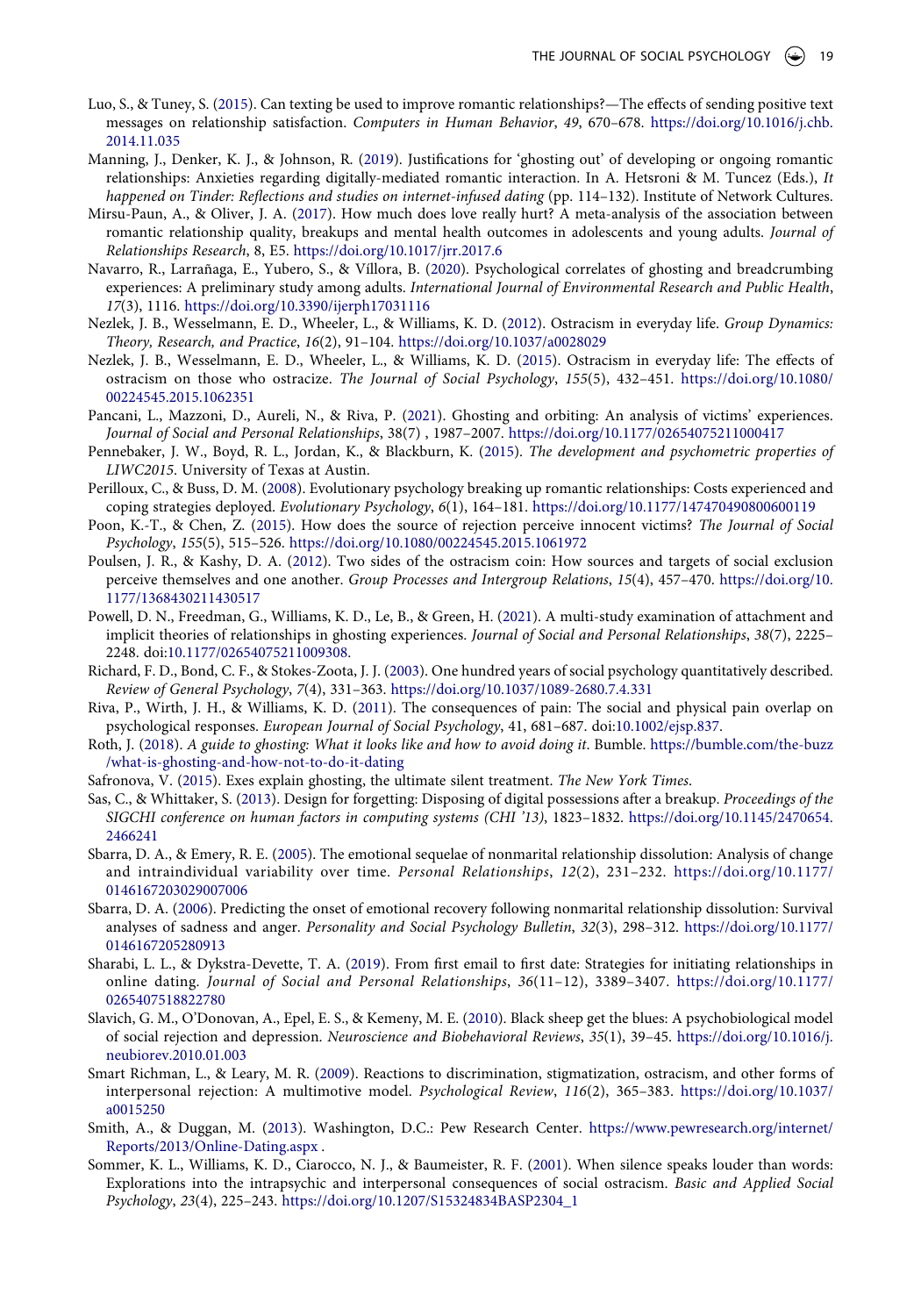- <span id="page-18-20"></span>Luo, S., & Tuney, S. [\(2015\)](#page-13-0). Can texting be used to improve romantic relationships?—The effects of sending positive text messages on relationship satisfaction. *Computers in Human Behavior*, *49*, 670–678. [https://doi.org/10.1016/j.chb.](https://doi.org/10.1016/j.chb.2014.11.035) [2014.11.035](https://doi.org/10.1016/j.chb.2014.11.035)
- <span id="page-18-1"></span>Manning, J., Denker, K. J., & Johnson, R. [\(2019](#page-0-6)). Justifications for 'ghosting out' of developing or ongoing romantic relationships: Anxieties regarding digitally-mediated romantic interaction. In A. Hetsroni & M. Tuncez (Eds.), *It happened on Tinder: Reflections and studies on internet-infused dating* (pp. 114–132). Institute of Network Cultures.
- <span id="page-18-9"></span>Mirsu-Paun, A., & Oliver, J. A. ([2017](#page-2-7)). How much does love really hurt? A meta-analysis of the association between romantic relationship quality, breakups and mental health outcomes in adolescents and young adults. *Journal of Relationships Research*, 8, E5. <https://doi.org/10.1017/jrr.2017.6>
- <span id="page-18-2"></span>Navarro, R., Larrañaga, E., Yubero, S., & Víllora, B. ([2020](#page-0-8)). Psychological correlates of ghosting and breadcrumbing experiences: A preliminary study among adults. *International Journal of Environmental Research and Public Health*, *17*(3), 1116. <https://doi.org/10.3390/ijerph17031116>
- <span id="page-18-13"></span>Nezlek, J. B., Wesselmann, E. D., Wheeler, L., & Williams, K. D. ([2012\)](#page-2-5). Ostracism in everyday life. *Group Dynamics: Theory, Research, and Practice*, *16*(2), 91–104. <https://doi.org/10.1037/a0028029>
- <span id="page-18-14"></span>Nezlek, J. B., Wesselmann, E. D., Wheeler, L., & Williams, K. D. ([2015](#page-2-5)). Ostracism in everyday life: The effects of ostracism on those who ostracize. *The Journal of Social Psychology*, *155*(5), 432–451. [https://doi.org/10.1080/](https://doi.org/10.1080/00224545.2015.1062351) [00224545.2015.1062351](https://doi.org/10.1080/00224545.2015.1062351)
- <span id="page-18-5"></span>Pancani, L., Mazzoni, D., Aureli, N., & Riva, P. ([2021](#page-1-11)). Ghosting and orbiting: An analysis of victims' experiences. *Journal of Social and Personal Relationships*, 38(7) , 1987–2007. <https://doi.org/10.1177/02654075211000417>
- <span id="page-18-16"></span>Pennebaker, J. W., Boyd, R. L., Jordan, K., & Blackburn, K. ([2015](#page-3-0)). *The development and psychometric properties of LIWC2015*. University of Texas at Austin.
- <span id="page-18-8"></span>Perilloux, C., & Buss, D. M. [\(2008](#page-1-4)). Evolutionary psychology breaking up romantic relationships: Costs experienced and coping strategies deployed. *Evolutionary Psychology*, *6*(1), 164–181.<https://doi.org/10.1177/147470490800600119>
- <span id="page-18-17"></span>Poon, K.-T., & Chen, Z. [\(2015\)](#page-8-0). How does the source of rejection perceive innocent victims? *The Journal of Social Psychology*, *155*(5), 515–526. <https://doi.org/10.1080/00224545.2015.1061972>
- <span id="page-18-19"></span>Poulsen, J. R., & Kashy, D. A. [\(2012](#page-12-1)). Two sides of the ostracism coin: How sources and targets of social exclusion perceive themselves and one another. *Group Processes and Intergroup Relations*, *15*(4), 457–470. [https://doi.org/10.](https://doi.org/10.1177/1368430211430517) [1177/1368430211430517](https://doi.org/10.1177/1368430211430517)
- <span id="page-18-0"></span>Powell, D. N., Freedman, G., Williams, K. D., Le, B., & Green, H. [\(2021](#page-0-4)). A multi-study examination of attachment and implicit theories of relationships in ghosting experiences. *Journal of Social and Personal Relationships*, *38*(7), 2225– 2248. doi:[10.1177/02654075211009308](https://doi.org/10.1177/02654075211009308).
- <span id="page-18-18"></span>Richard, F. D., Bond, C. F., & Stokes-Zoota, J. J. [\(2003](#page-8-1)). One hundred years of social psychology quantitatively described. *Review of General Psychology*, *7*(4), 331–363. <https://doi.org/10.1037/1089-2680.7.4.331>
- <span id="page-18-15"></span>Riva, P., Wirth, J. H., & Williams, K. D. ([2011](#page-3-1)). The consequences of pain: The social and physical pain overlap on psychological responses. *European Journal of Social Psychology*, 41, 681–687. doi:[10.1002/ejsp.837.](https://doi.org/10.1002/ejsp.837)
- <span id="page-18-3"></span>Roth, J. ([2018](#page-1-2)). *A guide to ghosting: What it looks like and how to avoid doing it*. Bumble. https://bumble.com/the-buzz [/what-is-ghosting-and-how-not-to-do-it-dating](https://bumble.com/the-buzz/what-is-ghosting-and-how-not-to-do-it-dating)
- <span id="page-18-4"></span>Safronova, V. ([2015](#page-1-12)). Exes explain ghosting, the ultimate silent treatment. *The New York Times*.
- <span id="page-18-21"></span>Sas, C., & Whittaker, S. [\(2013](#page-13-0)). Design for forgetting: Disposing of digital possessions after a breakup. *Proceedings of the SIGCHI conference on human factors in computing systems (CHI '13)*, 1823–1832. [https://doi.org/10.1145/2470654.](https://doi.org/10.1145/2470654.2466241)  [2466241](https://doi.org/10.1145/2470654.2466241)
- <span id="page-18-7"></span>Sbarra, D. A., & Emery, R. E. ([2005](#page-1-13)). The emotional sequelae of nonmarital relationship dissolution: Analysis of change and intraindividual variability over time. *Personal Relationships*, *12*(2), 231–232. [https://doi.org/10.1177/](https://doi.org/10.1177/0146167203029007006) [0146167203029007006](https://doi.org/10.1177/0146167203029007006)
- <span id="page-18-6"></span>Sbarra, D. A. [\(2006\)](#page-1-14). Predicting the onset of emotional recovery following nonmarital relationship dissolution: Survival analyses of sadness and anger. *Personality and Social Psychology Bulletin*, *32*(3), 298–312. [https://doi.org/10.1177/](https://doi.org/10.1177/0146167205280913)  [0146167205280913](https://doi.org/10.1177/0146167205280913)
- <span id="page-18-22"></span>Sharabi, L. L., & Dykstra-Devette, T. A. ([2019](#page-13-1)). From first email to first date: Strategies for initiating relationships in online dating. *Journal of Social and Personal Relationships*, *36*(11–12), 3389–3407. [https://doi.org/10.1177/](https://doi.org/10.1177/0265407518822780) [0265407518822780](https://doi.org/10.1177/0265407518822780)
- <span id="page-18-10"></span>Slavich, G. M., O'Donovan, A., Epel, E. S., & Kemeny, M. E. [\(2010](#page-2-7)). Black sheep get the blues: A psychobiological model of social rejection and depression. *Neuroscience and Biobehavioral Reviews*, *35*(1), 39–45. [https://doi.org/10.1016/j.](https://doi.org/10.1016/j.neubiorev.2010.01.003) [neubiorev.2010.01.003](https://doi.org/10.1016/j.neubiorev.2010.01.003)
- <span id="page-18-11"></span>Smart Richman, L., & Leary, M. R. [\(2009](#page-2-2)). Reactions to discrimination, stigmatization, ostracism, and other forms of interpersonal rejection: A multimotive model. *Psychological Review*, *116*(2), 365–383. [https://doi.org/10.1037/](https://doi.org/10.1037/a0015250) [a0015250](https://doi.org/10.1037/a0015250)
- <span id="page-18-23"></span>Smith, A., & Duggan, M. [\(2013\)](#page-13-1). Washington, D.C.: Pew Research Center. [https://www.pewresearch.org/internet/](https://www.pewresearch.org/internet/Reports/2013/Online-Dating.aspx)  [Reports/2013/Online-Dating.aspx](https://www.pewresearch.org/internet/Reports/2013/Online-Dating.aspx) .
- <span id="page-18-12"></span>Sommer, K. L., Williams, K. D., Ciarocco, N. J., & Baumeister, R. F. ([2001\)](#page-2-8). When silence speaks louder than words: Explorations into the intrapsychic and interpersonal consequences of social ostracism. *Basic and Applied Social Psychology*, *23*(4), 225–243. [https://doi.org/10.1207/S15324834BASP2304\\_1](https://doi.org/10.1207/S15324834BASP2304_1)